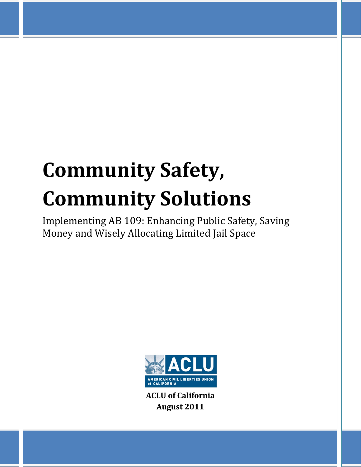# **Community Safety, Community Solutions**

Implementing AB 109: Enhancing Public Safety, Saving Money and Wisely Allocating Limited Jail Space



**ACLU of California August 2011**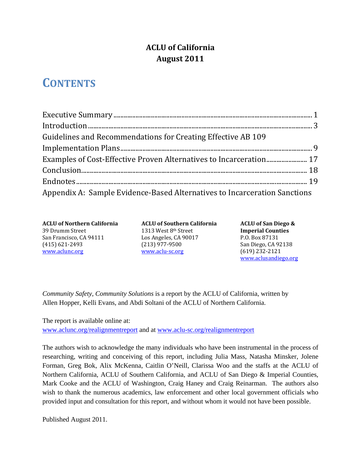### **ACLU of California August 2011**

# **CONTENTS**

| Guidelines and Recommendations for Creating Effective AB 109              |  |
|---------------------------------------------------------------------------|--|
|                                                                           |  |
| Examples of Cost-Effective Proven Alternatives to Incarceration 17        |  |
|                                                                           |  |
|                                                                           |  |
| Appendix A: Sample Evidence-Based Alternatives to Incarceration Sanctions |  |

**ACLU of Northern California** 39 Drumm Street San Francisco, CA 94111 (415) 621‐2493 www.aclunc.org 

**ACLU of Southern California** 1313 West 8<sup>th</sup> Street Los Angeles, CA 90017 (213) 977‐9500 www.aclu‐sc.org 

**ACLU of San Diego & Imperial Counties** P.O. Box 87131 San Diego, CA 92138 (619) 232‐2121 www.aclusandiego.org 

*Community Safety, Community Solutions* is a report by the ACLU of California, written by Allen Hopper, Kelli Evans, and Abdi Soltani of the ACLU of Northern California.

The report is available online at: www.aclunc.org/realignmentreport and at www.aclu-sc.org/realignmentreport

The authors wish to acknowledge the many individuals who have been instrumental in the process of researching, writing and conceiving of this report, including Julia Mass, Natasha Minsker, Jolene Forman, Greg Bok, Alix McKenna, Caitlin O'Neill, Clarissa Woo and the staffs at the ACLU of Northern California, ACLU of Southern California, and ACLU of San Diego & Imperial Counties, Mark Cooke and the ACLU of Washington, Craig Haney and Craig Reinarman. The authors also wish to thank the numerous academics, law enforcement and other local government officials who provided input and consultation for this report, and without whom it would not have been possible.

Published August 2011.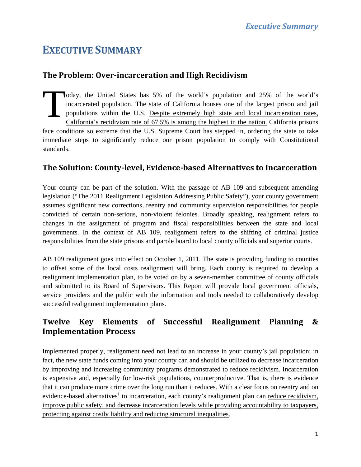# **EXECUTIVE SUMMARY**

### **The Problem: Over‐incarceration and High Recidivism**

oday, the United States has 5% of the world's population and 25% of the world's incarcerated population. The state of California houses one of the largest prison and jail populations within the U.S. Despite extremely high state and local incarceration rates, California's recidivism rate of 67.5% is among the highest in the nation. California prisons face conditions so extreme that the U.S. Supreme Court has stepped in, ordering the state to take immediate steps to significantly reduce our prison population to comply with Constitutional standards. T

### **The Solution: County‐level, Evidence‐based Alternatives to Incarceration**

Your county can be part of the solution. With the passage of AB 109 and subsequent amending legislation ("The 2011 Realignment Legislation Addressing Public Safety"), your county government assumes significant new corrections, reentry and community supervision responsibilities for people convicted of certain non-serious, non-violent felonies. Broadly speaking, realignment refers to changes in the assignment of program and fiscal responsibilities between the state and local governments. In the context of AB 109, realignment refers to the shifting of criminal justice responsibilities from the state prisons and parole board to local county officials and superior courts.

AB 109 realignment goes into effect on October 1, 2011. The state is providing funding to counties to offset some of the local costs realignment will bring. Each county is required to develop a realignment implementation plan, to be voted on by a seven-member committee of county officials and submitted to its Board of Supervisors. This Report will provide local government officials, service providers and the public with the information and tools needed to collaboratively develop successful realignment implementation plans.

### **Twelve Key Elements of Successful Realignment Planning & Implementation Process**

Implemented properly, realignment need not lead to an increase in your county's jail population; in fact, the new state funds coming into your county can and should be utilized to decrease incarceration by improving and increasing community programs demonstrated to reduce recidivism. Incarceration is expensive and, especially for low-risk populations, counterproductive. That is, there is evidence that it can produce more crime over the long run than it reduces. With a clear focus on reentry and on evidence-based alternatives<sup>1</sup> to incarceration, each county's realignment plan can reduce recidivism, improve public safety, and decrease incarceration levels while providing accountability to taxpayers, protecting against costly liability and reducing structural inequalities.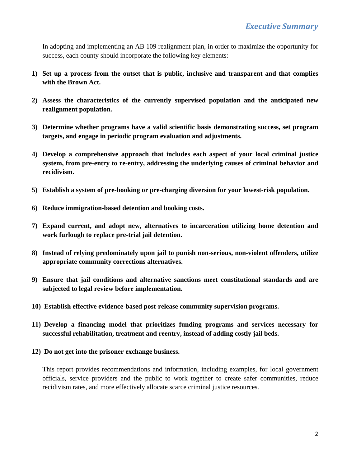In adopting and implementing an AB 109 realignment plan, in order to maximize the opportunity for success, each county should incorporate the following key elements:

- **1) Set up a process from the outset that is public, inclusive and transparent and that complies with the Brown Act.**
- **2) Assess the characteristics of the currently supervised population and the anticipated new realignment population.**
- **3) Determine whether programs have a valid scientific basis demonstrating success, set program targets, and engage in periodic program evaluation and adjustments.**
- **4) Develop a comprehensive approach that includes each aspect of your local criminal justice system, from pre-entry to re-entry, addressing the underlying causes of criminal behavior and recidivism.**
- **5) Establish a system of pre-booking or pre-charging diversion for your lowest-risk population.**
- **6) Reduce immigration-based detention and booking costs.**
- **7) Expand current, and adopt new, alternatives to incarceration utilizing home detention and work furlough to replace pre-trial jail detention.**
- **8) Instead of relying predominately upon jail to punish non-serious, non-violent offenders, utilize appropriate community corrections alternatives.**
- **9) Ensure that jail conditions and alternative sanctions meet constitutional standards and are subjected to legal review before implementation.**
- **10) Establish effective evidence-based post-release community supervision programs.**
- **11) Develop a financing model that prioritizes funding programs and services necessary for successful rehabilitation, treatment and reentry, instead of adding costly jail beds.**
- **12) Do not get into the prisoner exchange business.**

This report provides recommendations and information, including examples, for local government officials, service providers and the public to work together to create safer communities, reduce recidivism rates, and more effectively allocate scarce criminal justice resources.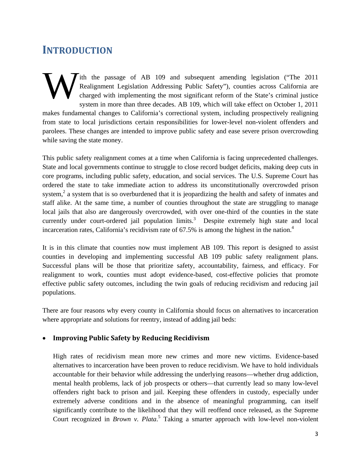### **INTRODUCTION**

ith the passage of AB 109 and subsequent amending legislation ("The 2011 Realignment Legislation Addressing Public Safety"), counties across California are charged with implementing the most significant reform of the State's criminal justice system in more than three decades. AB 109, which will take effect on October 1, 2011 makes fundamental changes to California's correctional system, including prospectively realigning from state to local jurisdictions certain responsibilities for lower-level non-violent offenders and parolees. These changes are intended to improve public safety and ease severe prison overcrowding while saving the state money. W

This public safety realignment comes at a time when California is facing unprecedented challenges. State and local governments continue to struggle to close record budget deficits, making deep cuts in core programs, including public safety, education, and social services. The U.S. Supreme Court has ordered the state to take immediate action to address its unconstitutionally overcrowded prison system,<sup>2</sup> a system that is so overburdened that it is jeopardizing the health and safety of inmates and staff alike. At the same time, a number of counties throughout the state are struggling to manage local jails that also are dangerously overcrowded, with over one-third of the counties in the state currently under court-ordered jail population  $limits$ <sup>3</sup> Despite extremely high state and local incarceration rates, California's recidivism rate of 67.5% is among the highest in the nation.<sup>4</sup>

It is in this climate that counties now must implement AB 109. This report is designed to assist counties in developing and implementing successful AB 109 public safety realignment plans. Successful plans will be those that prioritize safety, accountability, fairness, and efficacy. For realignment to work, counties must adopt evidence-based, cost-effective policies that promote effective public safety outcomes, including the twin goals of reducing recidivism and reducing jail populations.

There are four reasons why every county in California should focus on alternatives to incarceration where appropriate and solutions for reentry, instead of adding jail beds:

### **Improving Public Safety by Reducing Recidivism**

High rates of recidivism mean more new crimes and more new victims. Evidence-based alternatives to incarceration have been proven to reduce recidivism. We have to hold individuals accountable for their behavior while addressing the underlying reasons—whether drug addiction, mental health problems, lack of job prospects or others—that currently lead so many low-level offenders right back to prison and jail. Keeping these offenders in custody, especially under extremely adverse conditions and in the absence of meaningful programming, can itself significantly contribute to the likelihood that they will reoffend once released, as the Supreme Court recognized in *Brown v. Plata*. 5 Taking a smarter approach with low-level non-violent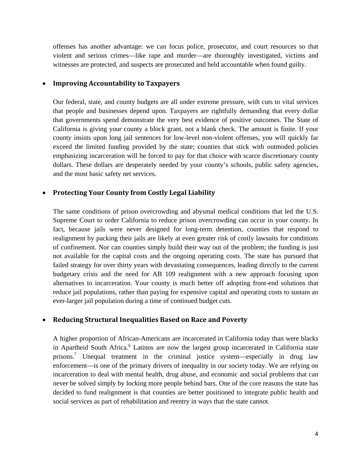offenses has another advantage: we can focus police, prosecutor, and court resources so that violent and serious crimes—like rape and murder—are thoroughly investigated, victims and witnesses are protected, and suspects are prosecuted and held accountable when found guilty.

#### **Improving Accountability to Taxpayers**

Our federal, state, and county budgets are all under extreme pressure, with cuts to vital services that people and businesses depend upon. Taxpayers are rightfully demanding that every dollar that governments spend demonstrate the very best evidence of positive outcomes. The State of California is giving your county a block grant, not a blank check. The amount is finite. If your county insists upon long jail sentences for low-level non-violent offenses, you will quickly far exceed the limited funding provided by the state; counties that stick with outmoded policies emphasizing incarceration will be forced to pay for that choice with scarce discretionary county dollars. These dollars are desperately needed by your county's schools, public safety agencies, and the most basic safety net services.

#### **Protecting Your County from Costly Legal Liability**

The same conditions of prison overcrowding and abysmal medical conditions that led the U.S. Supreme Court to order California to reduce prison overcrowding can occur in your county. In fact, because jails were never designed for long-term detention, counties that respond to realignment by packing their jails are likely at even greater risk of costly lawsuits for conditions of confinement. Nor can counties simply build their way out of the problem; the funding is just not available for the capital costs and the ongoing operating costs. The state has pursued that failed strategy for over thirty years with devastating consequences, leading directly to the current budgetary crisis and the need for AB 109 realignment with a new approach focusing upon alternatives to incarceration. Your county is much better off adopting front-end solutions that reduce jail populations, rather than paying for expensive capital and operating costs to sustain an ever-larger jail population during a time of continued budget cuts.

#### **Reducing Structural Inequalities Based on Race and Poverty**

A higher proportion of African-Americans are incarcerated in California today than were blacks in Apartheid South Africa.<sup>6</sup> Latinos are now the largest group incarcerated in California state prisons.<sup>7</sup> Unequal treatment in the criminal justice system—especially in drug law enforcement—is one of the primary drivers of inequality in our society today. We are relying on incarceration to deal with mental health, drug abuse, and economic and social problems that can never be solved simply by locking more people behind bars. One of the core reasons the state has decided to fund realignment is that counties are better positioned to integrate public health and social services as part of rehabilitation and reentry in ways that the state cannot.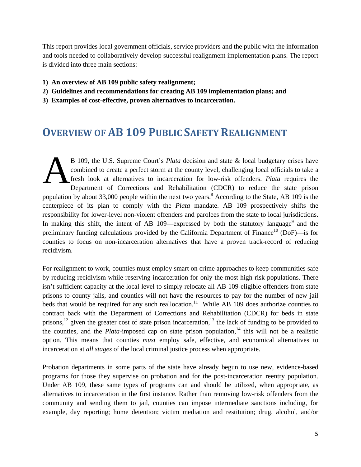This report provides local government officials, service providers and the public with the information and tools needed to collaboratively develop successful realignment implementation plans. The report is divided into three main sections:

- **1) An overview of AB 109 public safety realignment;**
- **2) Guidelines and recommendations for creating AB 109 implementation plans; and**
- **3) Examples of cost-effective, proven alternatives to incarceration.**

### **OVERVIEW OF AB 109 PUBLIC SAFETY REALIGNMENT**

B 109, the U.S. Supreme Court's *Plata* decision and state & local budgetary crises have combined to create a perfect storm at the county level, challenging local officials to take a fresh look at alternatives to incarceration for low-risk offenders. *Plata* requires the Department of Corrections and Rehabilitation (CDCR) to reduce the state prison population by about 33,000 people within the next two years.<sup>8</sup> According to the State, AB 109 is the centerpiece of its plan to comply with the *Plata* mandate. AB 109 prospectively shifts the responsibility for lower-level non-violent offenders and parolees from the state to local jurisdictions. In making this shift, the intent of AB 109—expressed by both the statutory language<sup>9</sup> and the preliminary funding calculations provided by the California Department of Finance<sup>10</sup> (DoF)—is for counties to focus on non-incarceration alternatives that have a proven track-record of reducing recidivism.  $\sum_{\text{free}}^{\text{B 1}}$ 

For realignment to work, counties must employ smart on crime approaches to keep communities safe by reducing recidivism while reserving incarceration for only the most high-risk populations. There isn't sufficient capacity at the local level to simply relocate all AB 109-eligible offenders from state prisons to county jails, and counties will not have the resources to pay for the number of new jail beds that would be required for any such reallocation.<sup>11</sup> While AB 109 does authorize counties to contract back with the Department of Corrections and Rehabilitation (CDCR) for beds in state prisons,<sup>12</sup> given the greater cost of state prison incarceration,<sup>13</sup> the lack of funding to be provided to the counties, and the *Plata*-imposed cap on state prison population,<sup>14</sup> this will not be a realistic option. This means that counties *must* employ safe, effective, and economical alternatives to incarceration at *all stages* of the local criminal justice process when appropriate.

Probation departments in some parts of the state have already begun to use new, evidence-based programs for those they supervise on probation and for the post-incarceration reentry population. Under AB 109, these same types of programs can and should be utilized, when appropriate, as alternatives to incarceration in the first instance. Rather than removing low-risk offenders from the community and sending them to jail, counties can impose intermediate sanctions including, for example, day reporting; home detention; victim mediation and restitution; drug, alcohol, and/or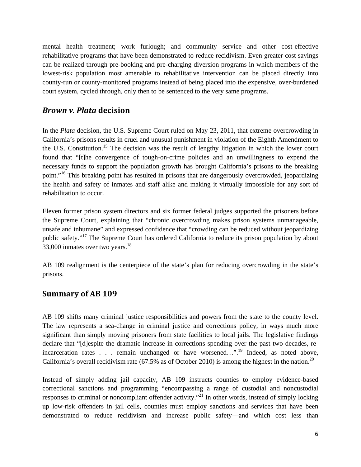mental health treatment; work furlough; and community service and other cost-effective rehabilitative programs that have been demonstrated to reduce recidivism. Even greater cost savings can be realized through pre-booking and pre-charging diversion programs in which members of the lowest-risk population most amenable to rehabilitative intervention can be placed directly into county-run or county-monitored programs instead of being placed into the expensive, over-burdened court system, cycled through, only then to be sentenced to the very same programs.

### *Brown v. Plata* **decision**

In the *Plata* decision, the U.S. Supreme Court ruled on May 23, 2011, that extreme overcrowding in California's prisons results in cruel and unusual punishment in violation of the Eighth Amendment to the U.S. Constitution.<sup>15</sup> The decision was the result of lengthy litigation in which the lower court found that "[t]he convergence of tough-on-crime policies and an unwillingness to expend the necessary funds to support the population growth has brought California's prisons to the breaking point."16 This breaking point has resulted in prisons that are dangerously overcrowded, jeopardizing the health and safety of inmates and staff alike and making it virtually impossible for any sort of rehabilitation to occur.

Eleven former prison system directors and six former federal judges supported the prisoners before the Supreme Court, explaining that "chronic overcrowding makes prison systems unmanageable, unsafe and inhumane" and expressed confidence that "crowding can be reduced without jeopardizing public safety."17 The Supreme Court has ordered California to reduce its prison population by about 33,000 inmates over two years. $18$ 

AB 109 realignment is the centerpiece of the state's plan for reducing overcrowding in the state's prisons.

### **Summary of AB 109**

AB 109 shifts many criminal justice responsibilities and powers from the state to the county level. The law represents a sea-change in criminal justice and corrections policy, in ways much more significant than simply moving prisoners from state facilities to local jails. The legislative findings declare that "[d]espite the dramatic increase in corrections spending over the past two decades, reincarceration rates . . . remain unchanged or have worsened...".<sup>19</sup> Indeed, as noted above, California's overall recidivism rate (67.5% as of October 2010) is among the highest in the nation.<sup>20</sup>

Instead of simply adding jail capacity, AB 109 instructs counties to employ evidence-based correctional sanctions and programming "encompassing a range of custodial and noncustodial responses to criminal or noncompliant offender activity."<sup>21</sup> In other words, instead of simply locking up low-risk offenders in jail cells, counties must employ sanctions and services that have been demonstrated to reduce recidivism and increase public safety—and which cost less than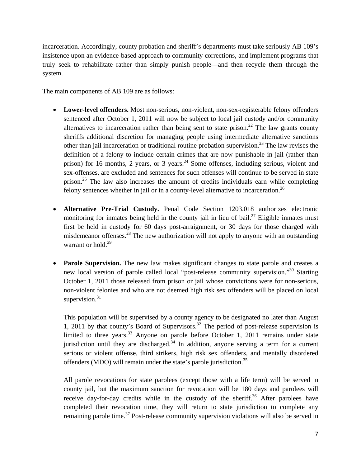incarceration. Accordingly, county probation and sheriff's departments must take seriously AB 109's insistence upon an evidence-based approach to community corrections, and implement programs that truly seek to rehabilitate rather than simply punish people—and then recycle them through the system.

The main components of AB 109 are as follows:

- **Lower-level offenders.** Most non-serious, non-violent, non-sex-registerable felony offenders sentenced after October 1, 2011 will now be subject to local jail custody and/or community alternatives to incarceration rather than being sent to state prison.<sup>22</sup> The law grants county sheriffs additional discretion for managing people using intermediate alternative sanctions other than jail incarceration or traditional routine probation supervision.<sup>23</sup> The law revises the definition of a felony to include certain crimes that are now punishable in jail (rather than prison) for 16 months, 2 years, or 3 years,  $^{24}$  Some offenses, including serious, violent and sex-offenses, are excluded and sentences for such offenses will continue to be served in state prison.<sup>25</sup> The law also increases the amount of credits individuals earn while completing felony sentences whether in jail or in a county-level alternative to incarceration.<sup>26</sup>
- **Alternative Pre-Trial Custody.** Penal Code Section 1203.018 authorizes electronic monitoring for inmates being held in the county jail in lieu of bail.<sup>27</sup> Eligible inmates must first be held in custody for 60 days post-arraignment, or 30 days for those charged with misdemeanor offenses.<sup>28</sup> The new authorization will not apply to anyone with an outstanding warrant or hold  $^{29}$
- **Parole Supervision.** The new law makes significant changes to state parole and creates a new local version of parole called local "post-release community supervision."<sup>30</sup> Starting October 1, 2011 those released from prison or jail whose convictions were for non-serious, non‐violent felonies and who are not deemed high risk sex offenders will be placed on local supervision.<sup>31</sup>

This population will be supervised by a county agency to be designated no later than August 1, 2011 by that county's Board of Supervisors.<sup>32</sup> The period of post-release supervision is limited to three years.<sup>33</sup> Anyone on parole before October 1, 2011 remains under state jurisdiction until they are discharged.<sup>34</sup> In addition, anyone serving a term for a current serious or violent offense, third strikers, high risk sex offenders, and mentally disordered offenders (MDO) will remain under the state's parole jurisdiction.<sup>35</sup>

All parole revocations for state parolees (except those with a life term) will be served in county jail, but the maximum sanction for revocation will be 180 days and parolees will receive day-for-day credits while in the custody of the sheriff.<sup>36</sup> After parolees have completed their revocation time, they will return to state jurisdiction to complete any remaining parole time.<sup>37</sup> Post-release community supervision violations will also be served in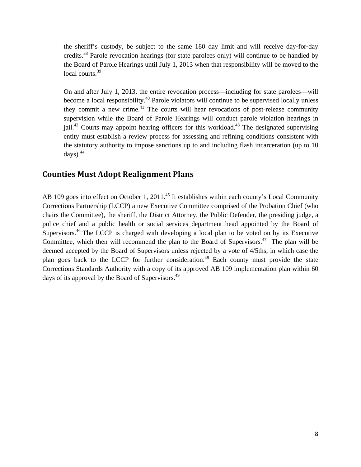the sheriff's custody, be subject to the same 180 day limit and will receive day‐for‐day credits.<sup>38</sup> Parole revocation hearings (for state parolees only) will continue to be handled by the Board of Parole Hearings until July 1, 2013 when that responsibility will be moved to the local courts.<sup>39</sup>

On and after July 1, 2013, the entire revocation process—including for state parolees—will become a local responsibility.<sup>40</sup> Parole violators will continue to be supervised locally unless they commit a new crime. $41$  The courts will hear revocations of post-release community supervision while the Board of Parole Hearings will conduct parole violation hearings in jail.<sup>42</sup> Courts may appoint hearing officers for this workload.<sup>43</sup> The designated supervising entity must establish a review process for assessing and refining conditions consistent with the statutory authority to impose sanctions up to and including flash incarceration (up to 10  $d$ ays). $44$ 

### **Counties Must Adopt Realignment Plans**

AB 109 goes into effect on October 1, 2011.<sup>45</sup> It establishes within each county's Local Community Corrections Partnership (LCCP) a new Executive Committee comprised of the Probation Chief (who chairs the Committee), the sheriff, the District Attorney, the Public Defender, the presiding judge, a police chief and a public health or social services department head appointed by the Board of Supervisors.<sup>46</sup> The LCCP is charged with developing a local plan to be voted on by its Executive Committee, which then will recommend the plan to the Board of Supervisors.<sup>47</sup> The plan will be deemed accepted by the Board of Supervisors unless rejected by a vote of 4/5ths, in which case the plan goes back to the LCCP for further consideration.<sup>48</sup> Each county must provide the state Corrections Standards Authority with a copy of its approved AB 109 implementation plan within 60 days of its approval by the Board of Supervisors.<sup>49</sup>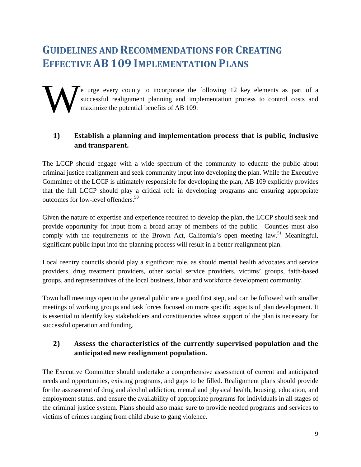# **GUIDELINES AND RECOMMENDATIONS FOR CREATING EFFECTIVE AB 109 IMPLEMENTATION PLANS**

e urge every county to incorporate the following 12 key elements as part of a successful realignment planning and implementation process to control costs and maximize the potential benefits of AB 109: W

### **1) Establish a planning and implementation process that is public, inclusive and transparent.**

The LCCP should engage with a wide spectrum of the community to educate the public about criminal justice realignment and seek community input into developing the plan. While the Executive Committee of the LCCP is ultimately responsible for developing the plan, AB 109 explicitly provides that the full LCCP should play a critical role in developing programs and ensuring appropriate outcomes for low-level offenders.50

Given the nature of expertise and experience required to develop the plan, the LCCP should seek and provide opportunity for input from a broad array of members of the public. Counties must also comply with the requirements of the Brown Act, California's open meeting law.<sup>51</sup> Meaningful, significant public input into the planning process will result in a better realignment plan.

Local reentry councils should play a significant role, as should mental health advocates and service providers, drug treatment providers, other social service providers, victims' groups, faith-based groups, and representatives of the local business, labor and workforce development community.

Town hall meetings open to the general public are a good first step, and can be followed with smaller meetings of working groups and task forces focused on more specific aspects of plan development. It is essential to identify key stakeholders and constituencies whose support of the plan is necessary for successful operation and funding.

### **2) Assess the characteristics of the currently supervised population and the anticipated new realignment population.**

The Executive Committee should undertake a comprehensive assessment of current and anticipated needs and opportunities, existing programs, and gaps to be filled. Realignment plans should provide for the assessment of drug and alcohol addiction, mental and physical health, housing, education, and employment status, and ensure the availability of appropriate programs for individuals in all stages of the criminal justice system. Plans should also make sure to provide needed programs and services to victims of crimes ranging from child abuse to gang violence.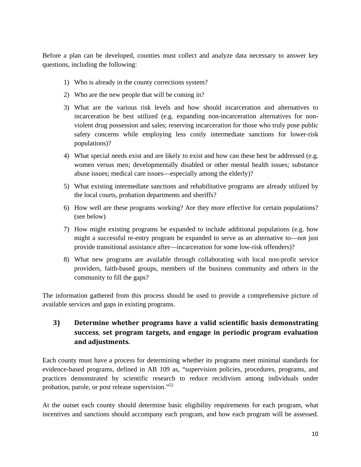Before a plan can be developed, counties must collect and analyze data necessary to answer key questions, including the following:

- 1) Who is already in the county corrections system?
- 2) Who are the new people that will be coming in?
- 3) What are the various risk levels and how should incarceration and alternatives to incarceration be best utilized (e.g. expanding non-incarceration alternatives for nonviolent drug possession and sales; reserving incarceration for those who truly pose public safety concerns while employing less costly intermediate sanctions for lower-risk populations)?
- 4) What special needs exist and are likely to exist and how can these best be addressed (e.g. women versus men; developmentally disabled or other mental health issues; substance abuse issues; medical care issues—especially among the elderly)?
- 5) What existing intermediate sanctions and rehabilitative programs are already utilized by the local courts, probation departments and sheriffs?
- 6) How well are these programs working? Are they more effective for certain populations? (see below)
- 7) How might existing programs be expanded to include additional populations (e.g. how might a successful re-entry program be expanded to serve as an alternative to—not just provide transitional assistance after—incarceration for some low-risk offenders)?
- 8) What new programs are available through collaborating with local non-profit service providers, faith-based groups, members of the business community and others in the community to fill the gaps?

The information gathered from this process should be used to provide a comprehensive picture of available services and gaps in existing programs.

### **3) Determine whether programs have a valid scientific basis demonstrating success**, **set program targets, and engage in periodic program evaluation and adjustments.**

Each county must have a process for determining whether its programs meet minimal standards for evidence-based programs, defined in AB 109 as, "supervision policies, procedures, programs, and practices demonstrated by scientific research to reduce recidivism among individuals under probation, parole, or post release supervision."52

At the outset each county should determine basic eligibility requirements for each program, what incentives and sanctions should accompany each program, and how each program will be assessed.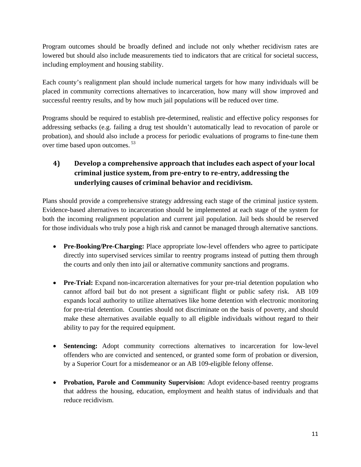Program outcomes should be broadly defined and include not only whether recidivism rates are lowered but should also include measurements tied to indicators that are critical for societal success, including employment and housing stability.

Each county's realignment plan should include numerical targets for how many individuals will be placed in community corrections alternatives to incarceration, how many will show improved and successful reentry results, and by how much jail populations will be reduced over time.

Programs should be required to establish pre-determined, realistic and effective policy responses for addressing setbacks (e.g. failing a drug test shouldn't automatically lead to revocation of parole or probation), and should also include a process for periodic evaluations of programs to fine-tune them over time based upon outcomes. 53

### **4) Develop a comprehensive approach that includes each aspect of your local criminal justice system, from pre‐entry to re‐entry, addressing the underlying causes of criminal behavior and recidivism.**

Plans should provide a comprehensive strategy addressing each stage of the criminal justice system. Evidence-based alternatives to incarceration should be implemented at each stage of the system for both the incoming realignment population and current jail population. Jail beds should be reserved for those individuals who truly pose a high risk and cannot be managed through alternative sanctions.

- **Pre-Booking/Pre-Charging:** Place appropriate low-level offenders who agree to participate directly into supervised services similar to reentry programs instead of putting them through the courts and only then into jail or alternative community sanctions and programs.
- **Pre-Trial:** Expand non-incarceration alternatives for your pre-trial detention population who cannot afford bail but do not present a significant flight or public safety risk. AB 109 expands local authority to utilize alternatives like home detention with electronic monitoring for pre-trial detention. Counties should not discriminate on the basis of poverty, and should make these alternatives available equally to all eligible individuals without regard to their ability to pay for the required equipment.
- **Sentencing:** Adopt community corrections alternatives to incarceration for low-level offenders who are convicted and sentenced, or granted some form of probation or diversion, by a Superior Court for a misdemeanor or an AB 109-eligible felony offense.
- **Probation, Parole and Community Supervision:** Adopt evidence-based reentry programs that address the housing, education, employment and health status of individuals and that reduce recidivism.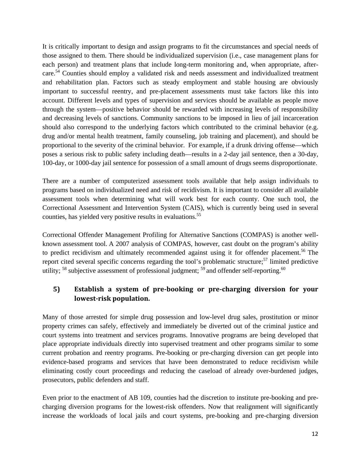It is critically important to design and assign programs to fit the circumstances and special needs of those assigned to them. There should be individualized supervision (i.e., case management plans for each person) and treatment plans that include long-term monitoring and, when appropriate, aftercare.54 Counties should employ a validated risk and needs assessment and individualized treatment and rehabilitation plan. Factors such as steady employment and stable housing are obviously important to successful reentry, and pre-placement assessments must take factors like this into account. Different levels and types of supervision and services should be available as people move through the system—positive behavior should be rewarded with increasing levels of responsibility and decreasing levels of sanctions. Community sanctions to be imposed in lieu of jail incarceration should also correspond to the underlying factors which contributed to the criminal behavior (e.g. drug and/or mental health treatment, family counseling, job training and placement), and should be proportional to the severity of the criminal behavior. For example, if a drunk driving offense—which poses a serious risk to public safety including death—results in a 2-day jail sentence, then a 30-day, 100-day, or 1000-day jail sentence for possession of a small amount of drugs seems disproportionate.

There are a number of computerized assessment tools available that help assign individuals to programs based on individualized need and risk of recidivism. It is important to consider all available assessment tools when determining what will work best for each county. One such tool, the Correctional Assessment and Intervention System (CAIS), which is currently being used in several counties, has yielded very positive results in evaluations.<sup>55</sup>

Correctional Offender Management Profiling for Alternative Sanctions (COMPAS) is another wellknown assessment tool. A 2007 analysis of COMPAS, however, cast doubt on the program's ability to predict recidivism and ultimately recommended against using it for offender placement.<sup>56</sup> The report cited several specific concerns regarding the tool's problematic structure;<sup>57</sup> limited predictive utility;  $^{58}$  subjective assessment of professional judgment;  $^{59}$  and offender self-reporting.<sup>60</sup>

### **5) Establish a system of pre‐booking or pre‐charging diversion for your lowest‐risk population.**

Many of those arrested for simple drug possession and low-level drug sales, prostitution or minor property crimes can safely, effectively and immediately be diverted out of the criminal justice and court systems into treatment and services programs. Innovative programs are being developed that place appropriate individuals directly into supervised treatment and other programs similar to some current probation and reentry programs. Pre-booking or pre-charging diversion can get people into evidence-based programs and services that have been demonstrated to reduce recidivism while eliminating costly court proceedings and reducing the caseload of already over-burdened judges, prosecutors, public defenders and staff.

Even prior to the enactment of AB 109, counties had the discretion to institute pre-booking and precharging diversion programs for the lowest-risk offenders. Now that realignment will significantly increase the workloads of local jails and court systems, pre-booking and pre-charging diversion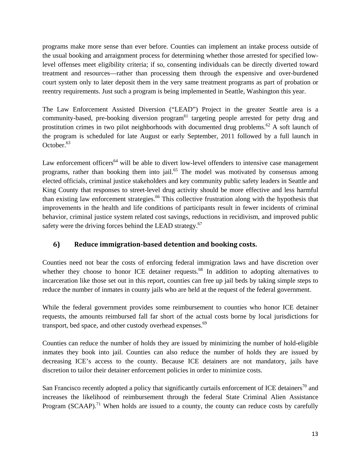programs make more sense than ever before. Counties can implement an intake process outside of the usual booking and arraignment process for determining whether those arrested for specified lowlevel offenses meet eligibility criteria; if so, consenting individuals can be directly diverted toward treatment and resources—rather than processing them through the expensive and over-burdened court system only to later deposit them in the very same treatment programs as part of probation or reentry requirements. Just such a program is being implemented in Seattle, Washington this year.

The Law Enforcement Assisted Diversion ("LEAD") Project in the greater Seattle area is a community-based, pre-booking diversion program<sup>61</sup> targeting people arrested for petty drug and prostitution crimes in two pilot neighborhoods with documented drug problems.<sup>62</sup> A soft launch of the program is scheduled for late August or early September, 2011 followed by a full launch in October. $63$ 

Law enforcement officers<sup>64</sup> will be able to divert low-level offenders to intensive case management programs, rather than booking them into jail.<sup>65</sup> The model was motivated by consensus among elected officials, criminal justice stakeholders and key community public safety leaders in Seattle and King County that responses to street-level drug activity should be more effective and less harmful than existing law enforcement strategies.<sup>66</sup> This collective frustration along with the hypothesis that improvements in the health and life conditions of participants result in fewer incidents of criminal behavior, criminal justice system related cost savings, reductions in recidivism, and improved public safety were the driving forces behind the LEAD strategy.<sup>67</sup>

### **6) Reduce immigration‐based detention and booking costs.**

Counties need not bear the costs of enforcing federal immigration laws and have discretion over whether they choose to honor ICE detainer requests.<sup>68</sup> In addition to adopting alternatives to incarceration like those set out in this report, counties can free up jail beds by taking simple steps to reduce the number of inmates in county jails who are held at the request of the federal government.

While the federal government provides some reimbursement to counties who honor ICE detainer requests, the amounts reimbursed fall far short of the actual costs borne by local jurisdictions for transport, bed space, and other custody overhead expenses.<sup>69</sup>

Counties can reduce the number of holds they are issued by minimizing the number of hold-eligible inmates they book into jail. Counties can also reduce the number of holds they are issued by decreasing ICE's access to the county. Because ICE detainers are not mandatory, jails have discretion to tailor their detainer enforcement policies in order to minimize costs.

San Francisco recently adopted a policy that significantly curtails enforcement of ICE detainers<sup>70</sup> and increases the likelihood of reimbursement through the federal State Criminal Alien Assistance Program (SCAAP).<sup>71</sup> When holds are issued to a county, the county can reduce costs by carefully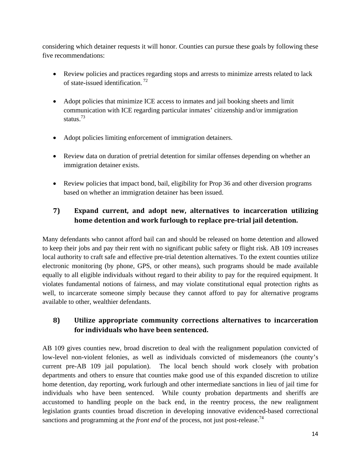considering which detainer requests it will honor. Counties can pursue these goals by following these five recommendations:

- Review policies and practices regarding stops and arrests to minimize arrests related to lack of state-issued identification. 72
- Adopt policies that minimize ICE access to inmates and jail booking sheets and limit communication with ICE regarding particular inmates' citizenship and/or immigration status.73
- Adopt policies limiting enforcement of immigration detainers.
- Review data on duration of pretrial detention for similar offenses depending on whether an immigration detainer exists.
- Review policies that impact bond, bail, eligibility for Prop 36 and other diversion programs based on whether an immigration detainer has been issued.

### **7) Expand current, and adopt new, alternatives to incarceration utilizing home detention and work furlough to replace pre‐trial jail detention.**

Many defendants who cannot afford bail can and should be released on home detention and allowed to keep their jobs and pay their rent with no significant public safety or flight risk. AB 109 increases local authority to craft safe and effective pre-trial detention alternatives. To the extent counties utilize electronic monitoring (by phone, GPS, or other means), such programs should be made available equally to all eligible individuals without regard to their ability to pay for the required equipment. It violates fundamental notions of fairness, and may violate constitutional equal protection rights as well, to incarcerate someone simply because they cannot afford to pay for alternative programs available to other, wealthier defendants.

### **8) Utilize appropriate community corrections alternatives to incarceration for individuals who have been sentenced.**

AB 109 gives counties new, broad discretion to deal with the realignment population convicted of low-level non-violent felonies, as well as individuals convicted of misdemeanors (the county's current pre-AB 109 jail population). The local bench should work closely with probation departments and others to ensure that counties make good use of this expanded discretion to utilize home detention, day reporting, work furlough and other intermediate sanctions in lieu of jail time for individuals who have been sentenced. While county probation departments and sheriffs are accustomed to handling people on the back end, in the reentry process, the new realignment legislation grants counties broad discretion in developing innovative evidenced-based correctional sanctions and programming at the *front end* of the process, not just post-release.<sup>74</sup>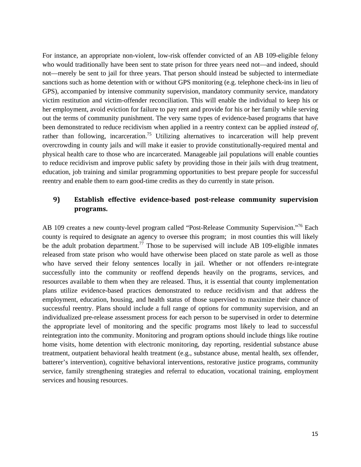For instance, an appropriate non-violent, low-risk offender convicted of an AB 109-eligible felony who would traditionally have been sent to state prison for three years need not—and indeed, should not—merely be sent to jail for three years. That person should instead be subjected to intermediate sanctions such as home detention with or without GPS monitoring (e.g. telephone check-ins in lieu of GPS), accompanied by intensive community supervision, mandatory community service, mandatory victim restitution and victim-offender reconciliation. This will enable the individual to keep his or her employment, avoid eviction for failure to pay rent and provide for his or her family while serving out the terms of community punishment. The very same types of evidence-based programs that have been demonstrated to reduce recidivism when applied in a reentry context can be applied *instead of*, rather than following, incarceration.<sup>75</sup> Utilizing alternatives to incarceration will help prevent overcrowding in county jails and will make it easier to provide constitutionally-required mental and physical health care to those who are incarcerated. Manageable jail populations will enable counties to reduce recidivism and improve public safety by providing those in their jails with drug treatment, education, job training and similar programming opportunities to best prepare people for successful reentry and enable them to earn good-time credits as they do currently in state prison.

### **9) Establish effective evidence‐based post‐release community supervision programs.**

AB 109 creates a new county-level program called "Post-Release Community Supervision."<sup>76</sup> Each county is required to designate an agency to oversee this program; in most counties this will likely be the adult probation department.<sup>77</sup> Those to be supervised will include AB 109-eligible inmates released from state prison who would have otherwise been placed on state parole as well as those who have served their felony sentences locally in jail. Whether or not offenders re-integrate successfully into the community or reoffend depends heavily on the programs, services, and resources available to them when they are released. Thus, it is essential that county implementation plans utilize evidence-based practices demonstrated to reduce recidivism and that address the employment, education, housing, and health status of those supervised to maximize their chance of successful reentry. Plans should include a full range of options for community supervision, and an individualized pre-release assessment process for each person to be supervised in order to determine the appropriate level of monitoring and the specific programs most likely to lead to successful reintegration into the community. Monitoring and program options should include things like routine home visits, home detention with electronic monitoring, day reporting, residential substance abuse treatment, outpatient behavioral health treatment (e.g., substance abuse, mental health, sex offender, batterer's intervention), cognitive behavioral interventions, restorative justice programs, community service, family strengthening strategies and referral to education, vocational training, employment services and housing resources.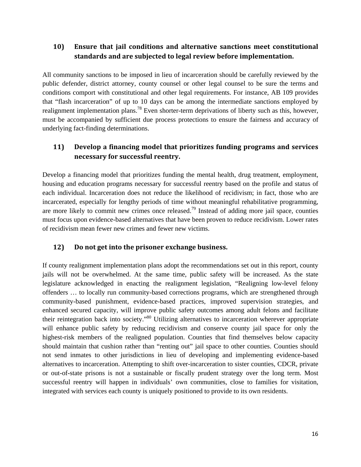### **10) Ensure that jail conditions and alternative sanctions meet constitutional standards and are subjected to legal review before implementation.**

All community sanctions to be imposed in lieu of incarceration should be carefully reviewed by the public defender, district attorney, county counsel or other legal counsel to be sure the terms and conditions comport with constitutional and other legal requirements. For instance, AB 109 provides that "flash incarceration" of up to 10 days can be among the intermediate sanctions employed by realignment implementation plans.<sup>78</sup> Even shorter-term deprivations of liberty such as this, however, must be accompanied by sufficient due process protections to ensure the fairness and accuracy of underlying fact-finding determinations.

### **11) Develop a financing model that prioritizes funding programs and services necessary for successful reentry.**

Develop a financing model that prioritizes funding the mental health, drug treatment, employment, housing and education programs necessary for successful reentry based on the profile and status of each individual. Incarceration does not reduce the likelihood of recidivism; in fact, those who are incarcerated, especially for lengthy periods of time without meaningful rehabilitative programming, are more likely to commit new crimes once released.<sup>79</sup> Instead of adding more jail space, counties must focus upon evidence-based alternatives that have been proven to reduce recidivism. Lower rates of recidivism mean fewer new crimes and fewer new victims.

### **12) Do not get into the prisoner exchange business.**

If county realignment implementation plans adopt the recommendations set out in this report, county jails will not be overwhelmed. At the same time, public safety will be increased. As the state legislature acknowledged in enacting the realignment legislation, "Realigning low-level felony offenders … to locally run community-based corrections programs, which are strengthened through community-based punishment, evidence-based practices, improved supervision strategies, and enhanced secured capacity, will improve public safety outcomes among adult felons and facilitate their reintegration back into society."80 Utilizing alternatives to incarceration wherever appropriate will enhance public safety by reducing recidivism and conserve county jail space for only the highest-risk members of the realigned population. Counties that find themselves below capacity should maintain that cushion rather than "renting out" jail space to other counties. Counties should not send inmates to other jurisdictions in lieu of developing and implementing evidence-based alternatives to incarceration. Attempting to shift over-incarceration to sister counties, CDCR, private or out-of-state prisons is not a sustainable or fiscally prudent strategy over the long term. Most successful reentry will happen in individuals' own communities, close to families for visitation, integrated with services each county is uniquely positioned to provide to its own residents.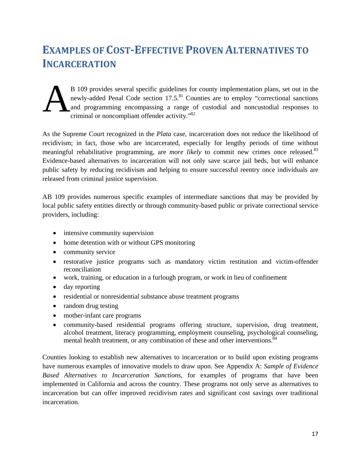# **EXAMPLES OF COST‐EFFECTIVE PROVEN ALTERNATIVES TO INCARCERATION**

B 109 provides several specific guidelines for county implementation plans, set out in the newly-added Penal Code section  $17.5$ <sup>81</sup> Counties are to employ "correctional sanctions" and programming encompassing a range of custodial and noncustodial responses to criminal or noncompliant offender activity."82  $\sum_{\substack{\text{new} \ \text{crand} \\ \text{crin}}}$ 

As the Supreme Court recognized in the *Plata* case, incarceration does not reduce the likelihood of recidivism; in fact, those who are incarcerated, especially for lengthy periods of time without meaningful rehabilitative programming, are *more likely* to commit new crimes once released.<sup>83</sup> Evidence-based alternatives to incarceration will not only save scarce jail beds, but will enhance public safety by reducing recidivism and helping to ensure successful reentry once individuals are released from criminal justice supervision.

AB 109 provides numerous specific examples of intermediate sanctions that may be provided by local public safety entities directly or through community-based public or private correctional service providers, including:

- intensive community supervision
- home detention with or without GPS monitoring
- community service
- restorative justice programs such as mandatory victim restitution and victim-offender reconciliation
- work, training, or education in a furlough program, or work in lieu of confinement
- day reporting
- residential or nonresidential substance abuse treatment programs
- random drug testing
- mother-infant care programs
- community-based residential programs offering structure, supervision, drug treatment, alcohol treatment, literacy programming, employment counseling, psychological counseling, mental health treatment, or any combination of these and other interventions.<sup>84</sup>

Counties looking to establish new alternatives to incarceration or to build upon existing programs have numerous examples of innovative models to draw upon. See Appendix A: *Sample of Evidence Based Alternatives to Incarceration Sanctions*, for examples of programs that have been implemented in California and across the country. These programs not only serve as alternatives to incarceration but can offer improved recidivism rates and significant cost savings over traditional incarceration.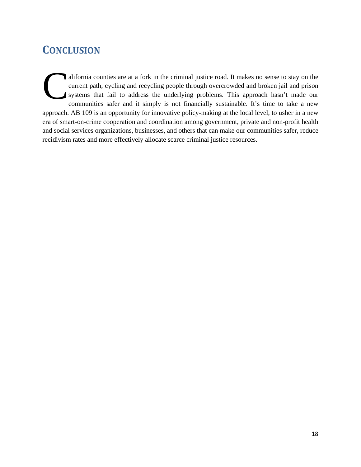# **CONCLUSION**

alifornia counties are at a fork in the criminal justice road. It makes no sense to stay on the current path, cycling and recycling people through overcrowded and broken jail and prison systems that fail to address the underlying problems. This approach hasn't made our communities safer and it simply is not financially sustainable. It's time to take a new approach. AB 109 is an opportunity for innovative policy-making at the local level, to usher in a new era of smart-on-crime cooperation and coordination among government, private and non-profit health and social services organizations, businesses, and others that can make our communities safer, reduce recidivism rates and more effectively allocate scarce criminal justice resources. C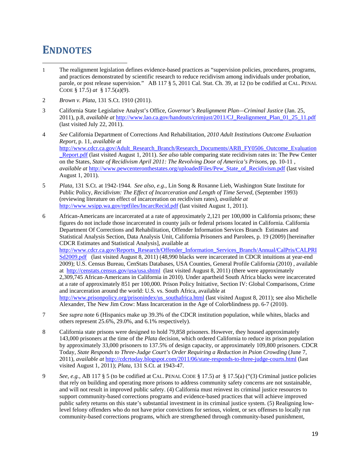# **ENDNOTES**

- 1 The realignment legislation defines evidence-based practices as "supervision policies, procedures, programs, and practices demonstrated by scientific research to reduce recidivism among individuals under probation, parole, or post release supervision." AB 117 § 5, 2011 Cal. Stat. Ch. 39, at 12 (to be codified at CAL. PENAL CODE § 17.5) *at* § 17.5(a)(9).
- 2 *Brown v. Plata*, 131 S.Ct. 1910 (2011).
- 3 California State Legislative Analyst's Office, *Governor's Realignment Plan—Criminal Justice* (Jan. 25, 2011), p.8, *available at* http://www.lao.ca.gov/handouts/crimjust/2011/CJ\_Realignment\_Plan\_01\_25\_11.pdf (last visited July 22, 2011).
- 4 *See* California Department of Corrections And Rehabilitation, *2010 Adult Institutions Outcome Evaluation Report*, p. 11, *available at* http://www.cdcr.ca.gov/Adult\_Research\_Branch/Research\_Documents/ARB\_FY0506\_Outcome\_Evaluation \_Report.pdf (last visited August 1, 2011). *See also* table comparing state recidivism rates in: The Pew Center on the States, *State of Recidivism April 2011: The Revolving Door of America's Prisons*, pp. 10-11 , *available at* http://www.pewcenteronthestates.org/uploadedFiles/Pew\_State\_of\_Recidivism.pdf (last visited August 1, 2011).
- 5 *Plata*, 131 S.Ct. at 1942-1944. *See also, e.g.*, Lin Song & Roxanne Lieb, Washington State Institute for Public Policy, *Recidivism: The Effect of Incarceration and Length of Time Served*, (September 1993) (reviewing literature on effect of incarceration on recidivism rates), *available at* http://www.wsipp.wa.gov/rptfiles/IncarcRecid.pdf (last visited August 1, 2011).
- 6 African-Americans are incarcerated at a rate of approximately 2,121 per 100,000 in California prisons; these figures do not include those incarcerated in county jails or federal prisons located in California. California Department Of Corrections and Rehabilitation, Offender Information Services Branch Estimates and Statistical Analysis Section, Data Analysis Unit, California Prisoners and Parolees, p. 19 (2009) [hereinafter CDCR Estimates and Statistical Analysis], available at http://www.cdcr.ca.gov/Reports\_Research/Offender\_Information\_Services\_Branch/Annual/CalPris/CALPRI Sd2009.pdf (last visited August 8, 2011) (48,990 blacks were incarcerated in CDCR intuitions at year-end 2009); U.S. Census Bureau, CenStats Databases, USA Counties, General Profile California (2010) , available at http://censtats.census.gov/usa/usa.shtml (last visited August 8, 2011) (there were approximately 2,309,745 African-Americans in California in 2010). Under apartheid South Africa blacks were incarcerated at a rate of approximately 851 per 100,000. Prison Policy Initiative, Section IV: Global Comparisons, Crime and incarceration around the world: U.S. vs. South Africa, available at http://www.prisonpolicy.org/prisonindex/us\_southafrica.html (last visited August 8, 2011); see also Michelle Alexander, The New Jim Crow: Mass Incarceration in the Age of Colorblindness pp. 6-7 (2010).
- 7 See *supra* note 6 (Hispanics make up 39.3% of the CDCR institution population, while whites, blacks and others represent 25.6%, 29.0%, and 6.1% respectively).
- 8 California state prisons were designed to hold 79,858 prisoners. However, they housed approximately 143,000 prisoners at the time of the *Plata* decision, which ordered California to reduce its prison population by approximately 33,000 prisoners to 137.5% of design capacity, or approximately 109,800 prisoners. CDCR Today, *State Responds to Three-Judge Court's Order Requiring a Reduction in Psion Crowding* (June 7, 2011), *available at* http://cdcrtoday.blogspot.com/2011/06/state-responds-to-three-judge-courts.html (last visited August 1, 2011); *Plata*, 131 S.Ct. at 1943-47.
- 9 *See, e.g.*, AB 117 § 5 (to be codified at CAL. PENAL CODE § 17.5) *at* § 17.5(a) ("(3) Criminal justice policies that rely on building and operating more prisons to address community safety concerns are not sustainable, and will not result in improved public safety. (4) California must reinvest its criminal justice resources to support community-based corrections programs and evidence-based practices that will achieve improved public safety returns on this state's substantial investment in its criminal justice system. (5) Realigning lowlevel felony offenders who do not have prior convictions for serious, violent, or sex offenses to locally run community-based corrections programs, which are strengthened through community-based punishment,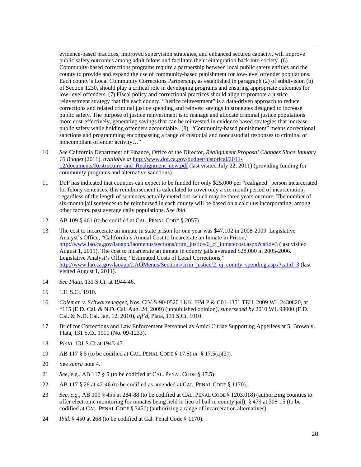<u> 1989 - Johann Stoff, amerikansk politiker (d. 1989)</u> evidence-based practices, improved supervision strategies, and enhanced secured capacity, will improve public safety outcomes among adult felons and facilitate their reintegration back into society. (6) Community-based corrections programs require a partnership between local public safety entities and the county to provide and expand the use of community-based punishment for low-level offender populations. Each county's Local Community Corrections Partnership, as established in paragraph (2) of subdivision (b) of Section 1230, should play a critical role in developing programs and ensuring appropriate outcomes for low-level offenders. (7) Fiscal policy and correctional practices should align to promote a justice reinvestment strategy that fits each county. "Justice reinvestment" is a data-driven approach to reduce corrections and related criminal justice spending and reinvest savings in strategies designed to increase public safety. The purpose of justice reinvestment is to manage and allocate criminal justice populations more cost-effectively, generating savings that can be reinvested in evidence based strategies that increase public safety while holding offenders accountable. (8) "Community-based punishment" means correctional sanctions and programming encompassing a range of custodial and noncustodial responses to criminal or noncompliant offender activity…"

- 10 *See* California Department of Finance, Office of the Director, *Realignment Proposal Changes Since January 10 Budget* (2011), *available at* http://www.dof.ca.gov/budget/historical/2011- 12/documents/Restructure\_and\_Realignment\_new.pdf (last visited July 22, 2011) (providing funding for community programs and alternative sanctions).
- 11 DoF has indicated that counties can expect to be funded for only \$25,000 per "realigned" person incarcerated for felony sentences; this reimbursement is calculated to cover only a six-month period of incarceration, regardless of the length of sentences actually meted out, which may be three years or more. The number of six-month jail sentences to be reimbursed in each county will be based on a calculus incorporating, among other factors, past average daily populations. *See ibid*.
- 12 AB 109 § 461 (to be codified at CAL. PENAL CODE § 2057).
- 13 The cost to incarcerate an inmate in state prison for one year was \$47,102 in 2008-2009. Legislative Analyst's Office, "California's Annual Cost to Incarcerate an Inmate in Prison," http://www.lao.ca.gov/laoapp/laomenus/sections/crim\_justice/6\_cj\_inmatecost.aspx?catid=3 (last visited August 1, 2011). The cost to incarcerate an inmate in county jails averaged \$28,000 in 2005-2006. Legislative Analyst's Office, "Estimated Costs of Local Corrections," http://www.lao.ca.gov/laoapp/LAOMenus/Sections/crim\_justice/2\_cj\_county\_spending.aspx?catid=3 (last visited August 1, 2011).
- 14 *See Plata*, 131 S.Ct. at 1944-46.
- 15 131 S.Ct. 1910.
- 16 *Coleman v. Schwarzenegger*, Nos. CIV S-90-0520 LKK JFM P & C01-1351 TEH, 2009 WL 2430820, at \*115 (E.D. Cal. & N.D. Cal. Aug. 24, 2009) (unpublished opinion), *superseded by* 2010 WL 99000 (E.D. Cal. & N.D. Cal. Jan. 12, 2010), *aff'd*, Plata, 131 S.Ct. 1910.
- 17 Brief for Corrections and Law Enforcement Personnel as Amici Curiae Supporting Appellees at 5, Brown v. Plata, 131 S.Ct. 1910 (No. 09-1233).
- 18 *Plata*, 131 S.Ct at 1943-47.
- 19 AB 117 § 5 (to be codified at CAL. PENAL CODE § 17.5) *at* § 17.5(a)(2)).
- 20 See *supra* note 4.
- 21 *See*, e.g., AB 117 § 5 (to be codified at CAL. PENAL CODE § 17.5)
- 22 AB 117 § 28 at 42-46 (to be codified as amended at CAL. PENAL CODE § 1170).
- 23 *See, e.g.*, AB 109 § 455 at 284-88 (to be codified at CAL. PENAL CODE § 1203.018) (authorizing counties to offer electronic monitoring for inmates being held in lieu of bail in county jail); § 479 at 308-15 (to be codified at CAL. PENAL CODE § 3450) (authorizing a range of incarceration alternatives).
- 24 *Ibid.* § 450 at 268 (to be codified at Cal. Penal Code § 1170).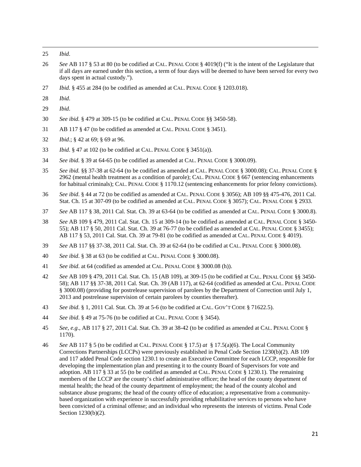26 *See* AB 117 § 53 at 80 (to be codified at CAL. PENAL CODE § 4019(f) ("It is the intent of the Legislature that if all days are earned under this section, a term of four days will be deemed to have been served for every two days spent in actual custody.").

<u> 1989 - Johann Stoff, amerikansk politiker (d. 1989)</u>

- 27 *Ibid.* § 455 at 284 (to be codified as amended at CAL. PENAL CODE § 1203.018).
- 28 *Ibid*.
- 29 *Ibid*.
- 30 *See ibid.* § 479 at 309-15 (to be codified at CAL. PENAL CODE §§ 3450-58).
- 31 AB 117 § 47 (to be codified as amended at CAL. PENAL CODE § 3451).
- 32 *Ibid*.; § 42 at 69; § 69 at 96.
- 33 *Ibid*. § 47 at 102 (to be codified at CAL. PENAL CODE § 3451(a)).
- 34 *See ibid.* § 39 at 64-65 (to be codified as amended at CAL. PENAL CODE § 3000.09).
- 35 *See ibid.* §§ 37-38 at 62-64 (to be codified as amended at CAL. PENAL CODE § 3000.08); CAL. PENAL CODE § 2962 (mental health treatment as a condition of parole); CAL. PENAL CODE § 667 (sentencing enhancements for habitual criminals); CAL. PENAL CODE § 1170.12 (sentencing enhancements for prior felony convictions).
- 36 *See ibid*. § 44 at 72 (to be codified as amended at CAL. PENAL CODE § 3056); AB 109 §§ 475-476, 2011 Cal. Stat. Ch. 15 at 307-09 (to be codified as amended at CAL. PENAL CODE § 3057); CAL. PENAL CODE § 2933.
- 37 *See* AB 117 § 38, 2011 Cal. Stat. Ch. 39 at 63-64 (to be codified as amended at CAL. PENAL CODE § 3000.8).
- 38 *See* AB 109 § 479, 2011 Cal. Stat. Ch. 15 at 309-14 (to be codified as amended at CAL. PENAL CODE § 3450- 55); AB 117 § 50, 2011 Cal. Stat. Ch. 39 at 76-77 (to be codified as amended at CAL. PENAL CODE § 3455); AB 117 § 53, 2011 Cal. Stat. Ch. 39 at 79-81 (to be codified as amended at CAL. PENAL CODE § 4019).
- 39 *See* AB 117 §§ 37-38, 2011 Cal. Stat. Ch. 39 at 62-64 (to be codified at CAL. PENAL CODE § 3000.08).
- 40 *See ibid*. § 38 at 63 (to be codified at CAL. PENAL CODE § 3000.08).
- 41 *See ibid*. at 64 (codified as amended at CAL. PENAL CODE § 3000.08 (h)).
- 42 *See* AB 109 § 479, 2011 Cal. Stat. Ch. 15 (AB 109), at 309-15 (to be codified at CAL. PENAL CODE §§ 3450- 58); AB 117 §§ 37-38, 2011 Cal. Stat. Ch. 39 (AB 117), at 62-64 (codified as amended at CAL. PENAL CODE § 3000.08) (providing for postrelease supervision of parolees by the Department of Correction until July 1, 2013 and postrelease supervision of certain parolees by counties thereafter).
- 43 *See ibid*. § 1, 2011 Cal. Stat. Ch. 39 at 5-6 (to be codified at CAL. GOV'T CODE § 71622.5).
- 44 *See ibid*. § 49 at 75-76 (to be codified at CAL. PENAL CODE § 3454).
- 45 *See, e.g*., AB 117 § 27, 2011 Cal. Stat. Ch. 39 at 38-42 (to be codified as amended at CAL. PENAL CODE § 1170).
- 46 *See* AB 117 § 5 (to be codified at CAL. PENAL CODE § 17.5) *at* § 17.5(a)(6). The Local Community Corrections Partnerships (LCCPs) were previously established in Penal Code Section 1230(b)(2). AB 109 and 117 added Penal Code section 1230.1 to create an Executive Committee for each LCCP, responsible for developing the implementation plan and presenting it to the county Board of Supervisors for vote and adoption. AB 117 § 33 at 55 (to be codified as amended at CAL. PENAL CODE § 1230.1). The remaining members of the LCCP are the county's chief administrative officer; the head of the county department of mental health; the head of the county department of employment; the head of the county alcohol and substance abuse programs; the head of the county office of education; a representative from a communitybased organization with experience in successfully providing rehabilitative services to persons who have been convicted of a criminal offense; and an individual who represents the interests of victims. Penal Code Section 1230(b)(2).

<sup>25</sup> *Ibid*.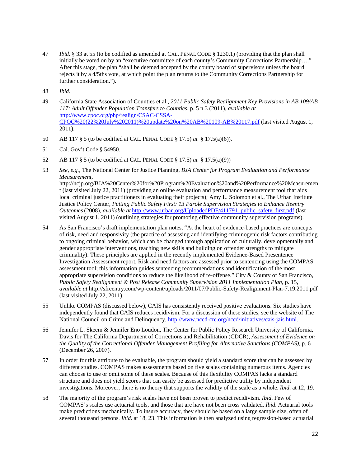<u> 1989 - Johann Stoff, amerikansk politiker (d. 1989)</u> 47 *Ibid*. § 33 at 55 (to be codified as amended at CAL. PENAL CODE § 1230.1) (providing that the plan shall initially be voted on by an "executive committee of each county's Community Corrections Partnership…." After this stage, the plan "shall be deemed accepted by the county board of supervisors unless the board rejects it by a 4/5ths vote, at which point the plan returns to the Community Corrections Partnership for further consideration.").

48 *Ibid*.

- 49 California State Association of Counties et al., *2011 Public Safety Realignment Key Provisions in AB 109/AB 117: Adult Offender Population Transfers to Counties*, p. 5 n.3 (2011), *available at*  http://www.cpoc.org/php/realign/CSAC-CSSA-CPOC%20(22%20July%202011)%20update%20on%20AB%20109-AB%20117.pdf (last visited August 1, 2011).
- 50 AB 117 § 5 (to be codified at CAL. PENAL CODE § 17.5) *at* § 17.5(a)(6)).
- 51 Cal. Gov't Code § 54950.
- 52 AB 117 § 5 (to be codified at CAL. PENAL CODE § 17.5) *at* § 17.5(a)(9))
- 53 *See, e.g.,* The National Center for Justice Planning, *BJA Center for Program Evaluation and Performance Measurement*, http://ncjp.org/BJA%20Center%20for%20Program%20Evaluation%20and%20Performance%20Measuremen t (last visited July 22, 2011) (providing an online evaluation and performance measurement tool that aids local criminal justice practitioners in evaluating their projects); Amy L. Solomon et al., The Urban Institute Justice Policy Center, *Putting Public Safety First: 13 Parole Supervision Strategies to Enhance Reentry Outcomes* (2008), *available at* http://www.urban.org/UploadedPDF/411791\_public\_safety\_first.pdf (last visited August 1, 2011) (outlining strategies for promoting effective community supervision programs).
- 54 As San Francisco's draft implementation plan notes, "At the heart of evidence-based practices are concepts of risk, need and responsivity (the practice of assessing and identifying criminogenic risk factors contributing to ongoing criminal behavior, which can be changed through application of culturally, developmentally and gender appropriate interventions, teaching new skills and building on offender strengths to mitigate criminality). These principles are applied in the recently implemented Evidence-Based Presentence Investigation Assessment report. Risk and need factors are assessed prior to sentencing using the COMPAS assessment tool; this information guides sentencing recommendations and identification of the most appropriate supervision conditions to reduce the likelihood of re-offense." City & County of San Francisco, *Public Safety Realignment & Post Release Community Supervision 2011 Implementation Plan*, p. 15, *available at* http://sfreentry.com/wp-content/uploads/2011/07/Public-Safety-Realignment-Plan-7.19.2011.pdf (last visited July 22, 2011).
- 55 Unlike COMPAS (discussed below), CAIS has consistently received positive evaluations. Six studies have independently found that CAIS reduces recidivism. For a discussion of these studies, see the website of The National Council on Crime and Delinquency, http://www.nccd-crc.org/nccd/initiatives/cais-jais.html.
- 56 Jennifer L. Skeem & Jennifer Eno Loudon, The Center for Public Policy Research University of California, Davis for The California Department of Corrections and Rehabilitation (CDCR), *Assessment of Evidence on the Quality of the Correctional Offender Management Profiling for Alternative Sanctions (COMPAS)*, p. 6 (December 26, 2007).
- 57 In order for this attribute to be evaluable, the program should yield a standard score that can be assessed by different studies. COMPAS makes assessments based on five scales containing numerous items. Agencies can choose to use or omit some of these scales. Because of this flexibility COMPAS lacks a standard structure and does not yield scores that can easily be assessed for predictive utility by independent investigations. Moreover, there is no theory that supports the validity of the scale as a whole. *Ibid*. at 12, 19.
- 58 The majority of the program's risk scales have not been proven to predict recidivism. *Ibid*. Few of COMPAS's scales use actuarial tools, and those that are have not been cross validated. *Ibid*. Actuarial tools make predictions mechanically. To insure accuracy, they should be based on a large sample size, often of several thousand persons. *Ibid*. at 18, 23. This information is then analyzed using regression-based actuarial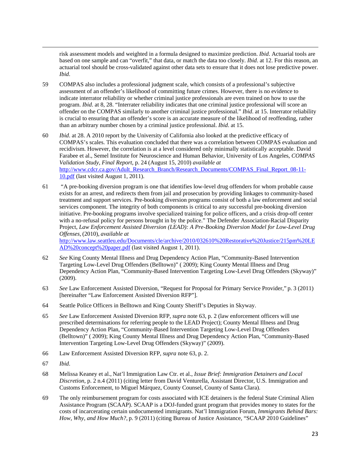risk assessment models and weighted in a formula designed to maximize prediction. *Ibid*. Actuarial tools are based on one sample and can "overfit," that data, or match the data too closely. *Ibid*. at 12. For this reason, an actuarial tool should be cross-validated against other data sets to ensure that it does not lose predictive power. *Ibid*.

<u> 1989 - Johann Stoff, amerikansk politiker (d. 1989)</u>

- 59 COMPAS also includes a professional judgment scale, which consists of a professional's subjective assessment of an offender's likelihood of committing future crimes. However, there is no evidence to indicate interrator reliability or whether criminal justice professionals are even trained on how to use the program. *Ibid*. at 8, 28. "Interrater reliability indicates that one criminal justice professional will score an offender on the COMPAS similarly to another criminal justice professional." *Ibid*. at 15. Interrator reliability is crucial to ensuring that an offender's score is an accurate measure of the likelihood of reoffending, rather than an arbitrary number chosen by a criminal justice professional. *Ibid*. at 15.
- 60 *Ibid*. at 28. A 2010 report by the University of California also looked at the predictive efficacy of COMPAS's scales. This evaluation concluded that there was a correlation between COMPAS evaluation and recidivism. However, the correlation is at a level considered only minimally statistically acceptable. David Farabee et al., Semel Institute for Neuroscience and Human Behavior, University of Los Angeles, *COMPAS Validation Study, Final Report*, p. 24 (August 15, 2010) *available at* http://www.cdcr.ca.gov/Adult\_Research\_Branch/Research\_Documents/COMPAS\_Final\_Report\_08-11-10.pdf (last visited August 1, 2011).
- 61 "A pre-booking diversion program is one that identifies low-level drug offenders for whom probable cause exists for an arrest, and redirects them from jail and prosecution by providing linkages to community-based treatment and support services. Pre-booking diversion programs consist of both a law enforcement and social services component. The integrity of both components is critical to any successful pre-booking diversion initiative. Pre-booking programs involve specialized training for police officers, and a crisis drop-off center with a no-refusal policy for persons brought in by the police." The Defender Association-Racial Disparity Project, *Law Enforcement Assisted Diversion (LEAD): A Pre-Booking Diversion Model for Low-Level Drug Offenses*, (2010), *available at* http://www.law.seattleu.edu/Documents/cle/archive/2010/032610%20Restorative%20Justice/215pm%20LE

AD%20concept%20paper.pdf (last visited August 1, 2011). 62 *See* King County Mental Illness and Drug Dependency Action Plan, "Community-Based Intervention Targeting Low-Level Drug Offenders (Belltown)" ( 2009); King County Mental Illness and Drug Dependency Action Plan, "Community-Based Intervention Targeting Low-Level Drug Offenders (Skyway)"

- (2009). 63 *See* Law Enforcement Assisted Diversion, "Request for Proposal for Primary Service Provider," p. 3 (2011) [hereinafter "Law Enforcement Assisted Diversion RFP"].
- 64 Seattle Police Officers in Belltown and King County Sheriff's Deputies in Skyway.
- 65 *See* Law Enforcement Assisted Diversion RFP, *supra* note 63, p. 2 (law enforcement officers will use prescribed determinations for referring people to the LEAD Project); County Mental Illness and Drug Dependency Action Plan, "Community-Based Intervention Targeting Low-Level Drug Offenders (Belltown)" ( 2009); King County Mental Illness and Drug Dependency Action Plan, "Community-Based Intervention Targeting Low-Level Drug Offenders (Skyway)" (2009).
- 66 Law Enforcement Assisted Diversion RFP, *supra* note 63, p. 2.
- 67 *Ibid*.
- 68 Melissa Keaney et al., Nat'l Immigration Law Ctr. et al., *Issue Brief: Immigration Detainers and Local Discretion*, p. 2 n.4 (2011) (citing letter from David Venturella, Assistant Director, U.S. Immigration and Customs Enforcement, to Miguel Márquez, County Counsel, County of Santa Clara).
- 69 The only reimbursement program for costs associated with ICE detainers is the federal State Criminal Alien Assistance Program (SCAAP). SCAAP is a DOJ-funded grant program that provides money to states for the costs of incarcerating certain undocumented immigrants. Nat'l Immigration Forum, *Immigrants Behind Bars: How, Why, and How Much?*, p. 9 (2011) (citing Bureau of Justice Assistance, "SCAAP 2010 Guidelines"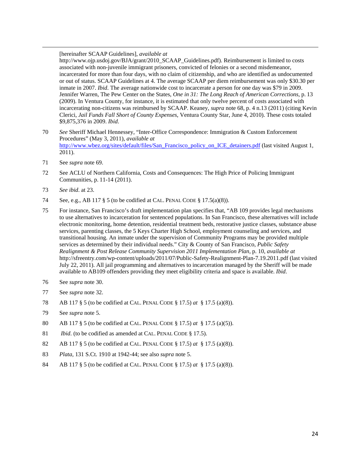[hereinafter SCAAP Guidelines], *available at*

http://www.ojp.usdoj.gov/BJA/grant/2010\_SCAAP\_Guidelines.pdf). Reimbursement is limited to costs associated with non-juvenile immigrant prisoners, convicted of felonies or a second misdemeanor, incarcerated for more than four days, with no claim of citizenship, and who are identified as undocumented or out of status. SCAAP Guidelines at 4. The average SCAAP per diem reimbursement was only \$30.30 per inmate in 2007. *Ibid*. The average nationwide cost to incarcerate a person for one day was \$79 in 2009. Jennifer Warren, The Pew Center on the States, *One in 31: The Long Reach of American Corrections*, p. 13 (2009). In Ventura County, for instance, it is estimated that only twelve percent of costs associated with incarcerating non-citizens was reimbursed by SCAAP. Keaney, *supra* note 68, p. 4 n.13 (2011) (citing Kevin Clerici, *Jail Funds Fall Short of County Expenses*, Ventura County Star, June 4, 2010). These costs totaled \$9,875,376 in 2009. *Ibid*.

<u> 1989 - Johann Stoff, amerikansk politiker (d. 1989)</u>

- 70 *See* Sheriff Michael Hennessey, "Inter-Office Correspondence: Immigration & Custom Enforcement Procedures" (May 3, 2011), *available at* http://www.wbez.org/sites/default/files/San\_Francisco\_policy\_on\_ICE\_detainers.pdf (last visited August 1, 2011).
- 71 See *supra* note 69.
- 72 See ACLU of Northern California, Costs and Consequences: The High Price of Policing Immigrant Communities, p. 11-14 (2011).
- 73 *See ibid*. at 23.
- 74 See, e.g., AB 117 § 5 (to be codified at CAL. PENAL CODE § 17.5(a)(8)).
- 75 For instance, San Francisco's draft implementation plan specifies that, "AB 109 provides legal mechanisms to use alternatives to incarceration for sentenced populations. In San Francisco, these alternatives will include electronic monitoring, home detention, residential treatment beds, restorative justice classes, substance abuse services, parenting classes, the 5 Keys Charter High School, employment counseling and services, and transitional housing. An inmate under the supervision of Community Programs may be provided multiple services as determined by their individual needs." City & County of San Francisco, *Public Safety Realignment & Post Release Community Supervision 2011 Implementation Plan*, p. 10, *available at* http://sfreentry.com/wp-content/uploads/2011/07/Public-Safety-Realignment-Plan-7.19.2011.pdf (last visited July 22, 2011). All jail programming and alternatives to incarceration managed by the Sheriff will be made available to AB109 offenders providing they meet eligibility criteria and space is available. *Ibid*.
- 76 See *supra* note 30.
- 77 See *supra* note 32.
- 78 AB 117 § 5 (to be codified at CAL. PENAL CODE § 17.5) *at* § 17.5 (a)(8)).
- 79 See *supra* note 5.
- 80 AB 117 § 5 (to be codified at CAL. PENAL CODE § 17.5) *at* § 17.5 (a)(5)).
- 81 *Ibid*. (to be codified as amended at CAL. PENAL CODE § 17.5).
- 82 AB 117 § 5 (to be codified at CAL. PENAL CODE § 17.5) *at* § 17.5 (a)(8)).
- 83 *Plata*, 131 S.Ct. 1910 at 1942-44; see also *supra* note 5.
- 84 AB 117 § 5 (to be codified at CAL. PENAL CODE § 17.5) *at* § 17.5 (a)(8)).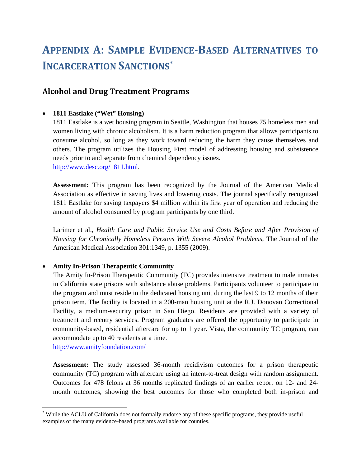# **APPENDIX A: SAMPLE EVIDENCE‐BASED ALTERNATIVES TO INCARCERATION SANCTIONS\***

### **Alcohol and Drug Treatment Programs**

### **1811 Eastlake ("Wet" Housing)**

1811 Eastlake is a wet housing program in Seattle, Washington that houses 75 homeless men and women living with chronic alcoholism. It is a harm reduction program that allows participants to consume alcohol, so long as they work toward reducing the harm they cause themselves and others. The program utilizes the Housing First model of addressing housing and subsistence needs prior to and separate from chemical dependency issues. http://www.desc.org/1811.html.

**Assessment:** This program has been recognized by the Journal of the American Medical Association as effective in saving lives and lowering costs. The journal specifically recognized 1811 Eastlake for saving taxpayers \$4 million within its first year of operation and reducing the amount of alcohol consumed by program participants by one third.

Larimer et al., *Health Care and Public Service Use and Costs Before and After Provision of Housing for Chronically Homeless Persons With Severe Alcohol Problems*, The Journal of the American Medical Association 301:1349, p. 1355 (2009).

#### **Amity In-Prison Therapeutic Community**

The Amity In-Prison Therapeutic Community (TC) provides intensive treatment to male inmates in California state prisons with substance abuse problems. Participants volunteer to participate in the program and must reside in the dedicated housing unit during the last 9 to 12 months of their prison term. The facility is located in a 200-man housing unit at the R.J. Donovan Correctional Facility, a medium-security prison in San Diego. Residents are provided with a variety of treatment and reentry services. Program graduates are offered the opportunity to participate in community-based, residential aftercare for up to 1 year. Vista, the community TC program, can accommodate up to 40 residents at a time.

http://www.amityfoundation.com/

**Assessment:** The study assessed 36-month recidivism outcomes for a prison therapeutic community (TC) program with aftercare using an intent-to-treat design with random assignment. Outcomes for 478 felons at 36 months replicated findings of an earlier report on 12- and 24 month outcomes, showing the best outcomes for those who completed both in-prison and

<sup>\*</sup> While the ACLU of California does not formally endorse any of these specific programs, they provide useful examples of the many evidence-based programs available for counties.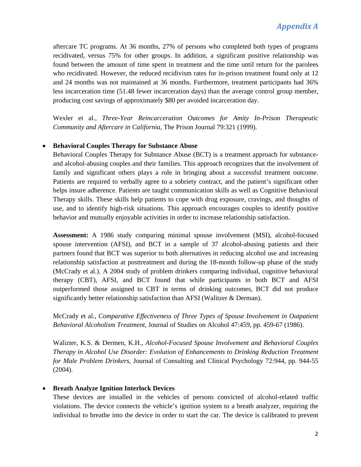aftercare TC programs. At 36 months, 27% of persons who completed both types of programs recidivated, versus 75% for other groups. In addition, a significant positive relationship was found between the amount of time spent in treatment and the time until return for the parolees who recidivated. However, the reduced recidivism rates for in-prison treatment found only at 12 and 24 months was not maintained at 36 months. Furthermore, treatment participants had 36% less incarceration time (51.48 fewer incarceration days) than the average control group member, producing cost savings of approximately \$80 per avoided incarceration day.

Wexler et al., *Three-Year Reincarceration Outcomes for Amity In-Prison Therapeutic Community and Aftercare in California*, The Prison Journal 79:321 (1999).

### **Behavioral Couples Therapy for Substance Abuse**

Behavioral Couples Therapy for Substance Abuse (BCT) is a treatment approach for substanceand alcohol-abusing couples and their families. This approach recognizes that the involvement of family and significant others plays a role in bringing about a successful treatment outcome. Patients are required to verbally agree to a sobriety contract, and the patient's significant other helps insure adherence. Patients are taught communication skills as well as Cognitive Behavioral Therapy skills. These skills help patients to cope with drug exposure, cravings, and thoughts of use, and to identify high-risk situations. This approach encourages couples to identify positive behavior and mutually enjoyable activities in order to increase relationship satisfaction.

**Assessment:** A 1986 study comparing minimal spouse involvement (MSI), alcohol-focused spouse intervention (AFSI), and BCT in a sample of 37 alcohol-abusing patients and their partners found that BCT was superior to both alternatives in reducing alcohol use and increasing relationship satisfaction at posttreatment and during the 18-month follow-up phase of the study (McCrady et al.). A 2004 study of problem drinkers comparing individual, cognitive behavioral therapy (CBT), AFSI, and BCT found that while participants in both BCT and AFSI outperformed those assigned to CBT in terms of drinking outcomes, BCT did not produce significantly better relationship satisfaction than AFSI (Walitzer & Derman).

McCrady et al., *Comparative Effectiveness of Three Types of Spouse Involvement in Outpatient Behavioral Alcoholism Treatment*, Journal of Studies on Alcohol 47:459, pp. 459-67 (1986).

Walizter, K.S. & Dermen, K.H., *Alcohol-Focused Spouse Involvement and Behavioral Couples Therapy in Alcohol Use Disorder: Evolution of Enhancements to Drinking Reduction Treatment for Male Problem Drinkers*, Journal of Consulting and Clinical Psychology 72:944, pp. 944-55 (2004).

#### **Breath Analyze Ignition Interlock Devices**

These devices are installed in the vehicles of persons convicted of alcohol-related traffic violations. The device connects the vehicle's ignition system to a breath analyzer, requiring the individual to breathe into the device in order to start the car. The device is calibrated to prevent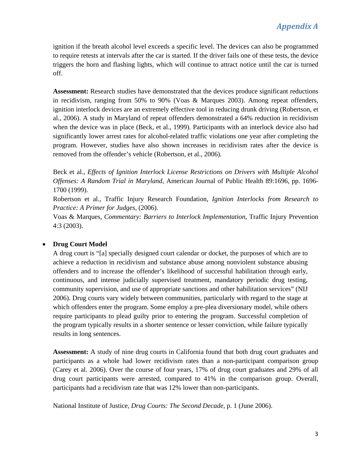ignition if the breath alcohol level exceeds a specific level. The devices can also be programmed to require retests at intervals after the car is started. If the driver fails one of these tests, the device triggers the horn and flashing lights, which will continue to attract notice until the car is turned off.

**Assessment:** Research studies have demonstrated that the devices produce significant reductions in recidivism, ranging from 50% to 90% (Voas & Marques 2003). Among repeat offenders, ignition interlock devices are an extremely effective tool in reducing drunk driving (Robertson, et al., 2006). A study in Maryland of repeat offenders demonstrated a 64% reduction in recidivism when the device was in place (Beck, et al., 1999). Participants with an interlock device also had significantly lower arrest rates for alcohol-related traffic violations one year after completing the program. However, studies have also shown increases in recidivism rates after the device is removed from the offender's vehicle (Robertson, et al., 2006).

Beck et al., *Effects of Ignition Interlock License Restrictions on Drivers with Multiple Alcohol Offenses: A Random Trial in Maryland*, American Journal of Public Health 89:1696, pp. 1696- 1700 (1999).

Robertson et al., Traffic Injury Research Foundation, *Ignition Interlocks from Research to Practice: A Primer for Judges*, (2006).

Voas & Marques, *Commentary: Barriers to Interlock Implementation*, Traffic Injury Prevention 4:3 (2003).

### **Drug Court Model**

A drug court is "[a] specially designed court calendar or docket, the purposes of which are to achieve a reduction in recidivism and substance abuse among nonviolent substance abusing offenders and to increase the offender's likelihood of successful habilitation through early, continuous, and intense judicially supervised treatment, mandatory periodic drug testing, community supervision, and use of appropriate sanctions and other habilitation services" (NIJ 2006). Drug courts vary widely between communities, particularly with regard to the stage at which offenders enter the program. Some employ a pre-plea diversionary model, while others require participants to plead guilty prior to entering the program. Successful completion of the program typically results in a shorter sentence or lesser conviction, while failure typically results in long sentences.

**Assessment:** A study of nine drug courts in California found that both drug court graduates and participants as a whole had lower recidivism rates than a non-participant comparison group (Carey et al. 2006). Over the course of four years, 17% of drug court graduates and 29% of all drug court participants were arrested, compared to 41% in the comparison group. Overall, participants had a recidivism rate that was 12% lower than non-participants.

National Institute of Justice, *Drug Courts: The Second Decade*, p. 1 (June 2006).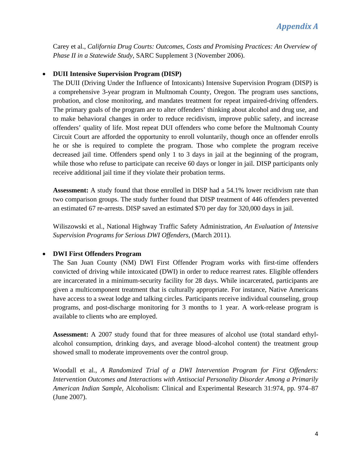Carey et al., *California Drug Courts: Outcomes, Costs and Promising Practices: An Overview of Phase II in a Statewide Study*, SARC Supplement 3 (November 2006).

### **DUII Intensive Supervision Program (DISP)**

The DUII (Driving Under the Influence of Intoxicants) Intensive Supervision Program (DISP) is a comprehensive 3-year program in Multnomah County, Oregon. The program uses sanctions, probation, and close monitoring, and mandates treatment for repeat impaired-driving offenders. The primary goals of the program are to alter offenders' thinking about alcohol and drug use, and to make behavioral changes in order to reduce recidivism, improve public safety, and increase offenders' quality of life. Most repeat DUI offenders who come before the Multnomah County Circuit Court are afforded the opportunity to enroll voluntarily, though once an offender enrolls he or she is required to complete the program. Those who complete the program receive decreased jail time. Offenders spend only 1 to 3 days in jail at the beginning of the program, while those who refuse to participate can receive 60 days or longer in jail. DISP participants only receive additional jail time if they violate their probation terms.

**Assessment:** A study found that those enrolled in DISP had a 54.1% lower recidivism rate than two comparison groups. The study further found that DISP treatment of 446 offenders prevented an estimated 67 re-arrests. DISP saved an estimated \$70 per day for 320,000 days in jail.

Wiliszowski et al., National Highway Traffic Safety Administration, *An Evaluation of Intensive Supervision Programs for Serious DWI Offenders,* (March 2011).

#### **DWI First Offenders Program**

The San Juan County (NM) DWI First Offender Program works with first-time offenders convicted of driving while intoxicated (DWI) in order to reduce rearrest rates. Eligible offenders are incarcerated in a minimum-security facility for 28 days. While incarcerated, participants are given a multicomponent treatment that is culturally appropriate. For instance, Native Americans have access to a sweat lodge and talking circles. Participants receive individual counseling, group programs, and post-discharge monitoring for 3 months to 1 year. A work-release program is available to clients who are employed.

**Assessment:** A 2007 study found that for three measures of alcohol use (total standard ethylalcohol consumption, drinking days, and average blood–alcohol content) the treatment group showed small to moderate improvements over the control group.

Woodall et al., *A Randomized Trial of a DWI Intervention Program for First Offenders: Intervention Outcomes and Interactions with Antisocial Personality Disorder Among a Primarily American Indian Sample*, Alcoholism: Clinical and Experimental Research 31:974, pp. 974–87 (June 2007).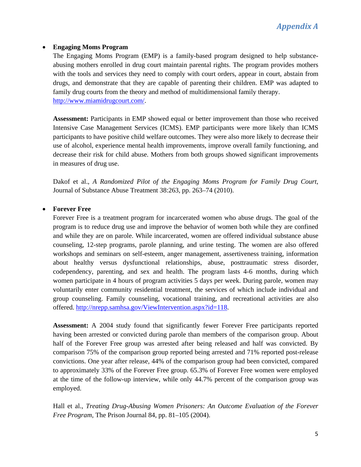### **Engaging Moms Program**

The Engaging Moms Program (EMP) is a family-based program designed to help substanceabusing mothers enrolled in drug court maintain parental rights. The program provides mothers with the tools and services they need to comply with court orders, appear in court, abstain from drugs, and demonstrate that they are capable of parenting their children. EMP was adapted to family drug courts from the theory and method of multidimensional family therapy. http://www.miamidrugcourt.com/.

**Assessment:** Participants in EMP showed equal or better improvement than those who received Intensive Case Management Services (ICMS). EMP participants were more likely than ICMS participants to have positive child welfare outcomes. They were also more likely to decrease their use of alcohol, experience mental health improvements, improve overall family functioning, and decrease their risk for child abuse. Mothers from both groups showed significant improvements in measures of drug use.

Dakof et al., *A Randomized Pilot of the Engaging Moms Program for Family Drug Court*, Journal of Substance Abuse Treatment 38:263, pp. 263–74 (2010).

#### **Forever Free**

Forever Free is a treatment program for incarcerated women who abuse drugs. The goal of the program is to reduce drug use and improve the behavior of women both while they are confined and while they are on parole. While incarcerated, women are offered individual substance abuse counseling, 12-step programs, parole planning, and urine testing. The women are also offered workshops and seminars on self-esteem, anger management, assertiveness training, information about healthy versus dysfunctional relationships, abuse, posttraumatic stress disorder, codependency, parenting, and sex and health. The program lasts 4-6 months, during which women participate in 4 hours of program activities 5 days per week. During parole, women may voluntarily enter community residential treatment, the services of which include individual and group counseling. Family counseling, vocational training, and recreational activities are also offered. http://nrepp.samhsa.gov/ViewIntervention.aspx?id=118.

**Assessment:** A 2004 study found that significantly fewer Forever Free participants reported having been arrested or convicted during parole than members of the comparison group. About half of the Forever Free group was arrested after being released and half was convicted. By comparison 75% of the comparison group reported being arrested and 71% reported post-release convictions. One year after release, 44% of the comparison group had been convicted, compared to approximately 33% of the Forever Free group. 65.3% of Forever Free women were employed at the time of the follow-up interview, while only 44.7% percent of the comparison group was employed.

Hall et al., *Treating Drug-Abusing Women Prisoners: An Outcome Evaluation of the Forever Free Program*, The Prison Journal 84, pp. 81–105 (2004).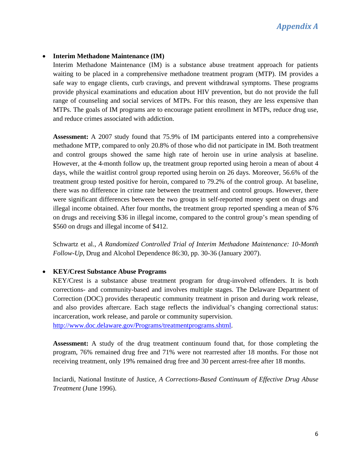### *Appendix A*

#### **Interim Methadone Maintenance (IM)**

Interim Methadone Maintenance (IM) is a substance abuse treatment approach for patients waiting to be placed in a comprehensive methadone treatment program (MTP). IM provides a safe way to engage clients, curb cravings, and prevent withdrawal symptoms. These programs provide physical examinations and education about HIV prevention, but do not provide the full range of counseling and social services of MTPs. For this reason, they are less expensive than MTPs. The goals of IM programs are to encourage patient enrollment in MTPs, reduce drug use, and reduce crimes associated with addiction.

**Assessment:** A 2007 study found that 75.9% of IM participants entered into a comprehensive methadone MTP, compared to only 20.8% of those who did not participate in IM. Both treatment and control groups showed the same high rate of heroin use in urine analysis at baseline. However, at the 4-month follow up, the treatment group reported using heroin a mean of about 4 days, while the waitlist control group reported using heroin on 26 days. Moreover, 56.6% of the treatment group tested positive for heroin, compared to 79.2% of the control group. At baseline, there was no difference in crime rate between the treatment and control groups. However, there were significant differences between the two groups in self-reported money spent on drugs and illegal income obtained. After four months, the treatment group reported spending a mean of \$76 on drugs and receiving \$36 in illegal income, compared to the control group's mean spending of \$560 on drugs and illegal income of \$412.

Schwartz et al., *A Randomized Controlled Trial of Interim Methadone Maintenance: 10-Month Follow-Up*, Drug and Alcohol Dependence 86:30, pp. 30-36 (January 2007).

#### **KEY/Crest Substance Abuse Programs**

KEY/Crest is a substance abuse treatment program for drug-involved offenders. It is both corrections- and community-based and involves multiple stages. The Delaware Department of Correction (DOC) provides therapeutic community treatment in prison and during work release, and also provides aftercare. Each stage reflects the individual's changing correctional status: incarceration, work release, and parole or community supervision.

http://www.doc.delaware.gov/Programs/treatmentprograms.shtml.

**Assessment:** A study of the drug treatment continuum found that, for those completing the program, 76% remained drug free and 71% were not rearrested after 18 months. For those not receiving treatment, only 19% remained drug free and 30 percent arrest-free after 18 months.

Inciardi, National Institute of Justice, *A Corrections-Based Continuum of Effective Drug Abuse Treatment* (June 1996).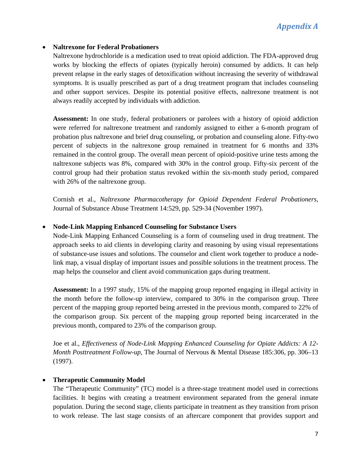### **Naltrexone for Federal Probationers**

Naltrexone hydrochloride is a medication used to treat opioid addiction. The FDA-approved drug works by blocking the effects of opiates (typically heroin) consumed by addicts. It can help prevent relapse in the early stages of detoxification without increasing the severity of withdrawal symptoms. It is usually prescribed as part of a drug treatment program that includes counseling and other support services. Despite its potential positive effects, naltrexone treatment is not always readily accepted by individuals with addiction.

**Assessment:** In one study, federal probationers or parolees with a history of opioid addiction were referred for naltrexone treatment and randomly assigned to either a 6-month program of probation plus naltrexone and brief drug counseling, or probation and counseling alone. Fifty-two percent of subjects in the naltrexone group remained in treatment for 6 months and 33% remained in the control group. The overall mean percent of opioid-positive urine tests among the naltrexone subjects was 8%, compared with 30% in the control group. Fifty-six percent of the control group had their probation status revoked within the six-month study period, compared with 26% of the naltrexone group.

Cornish et al., *Naltrexone Pharmacotherapy for Opioid Dependent Federal Probationers*, Journal of Substance Abuse Treatment 14:529, pp. 529-34 (November 1997).

### **Node-Link Mapping Enhanced Counseling for Substance Users**

Node-Link Mapping Enhanced Counseling is a form of counseling used in drug treatment. The approach seeks to aid clients in developing clarity and reasoning by using visual representations of substance-use issues and solutions. The counselor and client work together to produce a nodelink map, a visual display of important issues and possible solutions in the treatment process. The map helps the counselor and client avoid communication gaps during treatment.

**Assessment:** In a 1997 study, 15% of the mapping group reported engaging in illegal activity in the month before the follow-up interview, compared to 30% in the comparison group. Three percent of the mapping group reported being arrested in the previous month, compared to 22% of the comparison group. Six percent of the mapping group reported being incarcerated in the previous month, compared to 23% of the comparison group.

Joe et al., *Effectiveness of Node-Link Mapping Enhanced Counseling for Opiate Addicts: A 12- Month Posttreatment Follow-up*, The Journal of Nervous & Mental Disease 185:306, pp. 306–13 (1997).

#### **Therapeutic Community Model**

The "Therapeutic Community" (TC) model is a three-stage treatment model used in corrections facilities. It begins with creating a treatment environment separated from the general inmate population. During the second stage, clients participate in treatment as they transition from prison to work release. The last stage consists of an aftercare component that provides support and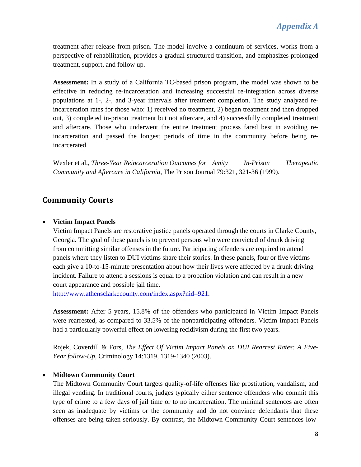treatment after release from prison. The model involve a continuum of services, works from a perspective of rehabilitation, provides a gradual structured transition, and emphasizes prolonged treatment, support, and follow up.

**Assessment:** In a study of a California TC-based prison program, the model was shown to be effective in reducing re-incarceration and increasing successful re-integration across diverse populations at 1-, 2-, and 3-year intervals after treatment completion. The study analyzed reincarceration rates for those who: 1) received no treatment, 2) began treatment and then dropped out, 3) completed in-prison treatment but not aftercare, and 4) successfully completed treatment and aftercare. Those who underwent the entire treatment process fared best in avoiding reincarceration and passed the longest periods of time in the community before being reincarcerated.

Wexler et al., *Three-Year Reincarceration Outcomes for Amity In-Prison Therapeutic Community and Aftercare in California*, The Prison Journal 79:321, 321-36 (1999).

### **Community Courts**

### **Victim Impact Panels**

Victim Impact Panels are restorative justice panels operated through the courts in Clarke County, Georgia. The goal of these panels is to prevent persons who were convicted of drunk driving from committing similar offenses in the future. Participating offenders are required to attend panels where they listen to DUI victims share their stories. In these panels, four or five victims each give a 10-to-15-minute presentation about how their lives were affected by a drunk driving incident. Failure to attend a sessions is equal to a probation violation and can result in a new court appearance and possible jail time.

http://www.athensclarkecounty.com/index.aspx?nid=921.

**Assessment:** After 5 years, 15.8% of the offenders who participated in Victim Impact Panels were rearrested, as compared to 33.5% of the nonparticipating offenders. Victim Impact Panels had a particularly powerful effect on lowering recidivism during the first two years.

Rojek, Coverdill & Fors, *The Effect Of Victim Impact Panels on DUI Rearrest Rates: A Five-Year follow-Up*, Criminology 14:1319, 1319-1340 (2003).

### **Midtown Community Court**

The Midtown Community Court targets quality-of-life offenses like prostitution, vandalism, and illegal vending. In traditional courts, judges typically either sentence offenders who commit this type of crime to a few days of jail time or to no incarceration. The minimal sentences are often seen as inadequate by victims or the community and do not convince defendants that these offenses are being taken seriously. By contrast, the Midtown Community Court sentences low-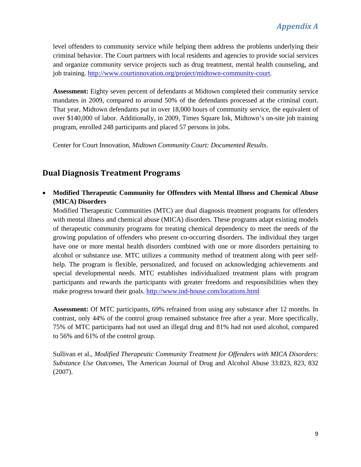### *Appendix A*

level offenders to community service while helping them address the problems underlying their criminal behavior. The Court partners with local residents and agencies to provide social services and organize community service projects such as drug treatment, mental health counseling, and job training. http://www.courtinnovation.org/project/midtown-community-court.

**Assessment:** Eighty seven percent of defendants at Midtown completed their community service mandates in 2009, compared to around 50% of the defendants processed at the criminal court. That year, Midtown defendants put in over 18,000 hours of community service, the equivalent of over \$140,000 of labor. Additionally, in 2009, Times Square Ink, Midtown's on-site job training program, enrolled 248 participants and placed 57 persons in jobs.

Center for Court Innovation, *Midtown Community Court: Documented Results*.

### **Dual Diagnosis Treatment Programs**

 **Modified Therapeutic Community for Offenders with Mental Illness and Chemical Abuse (MICA) Disorders** 

Modified Therapeutic Communities (MTC) are dual diagnosis treatment programs for offenders with mental illness and chemical abuse (MICA) disorders. These programs adapt existing models of therapeutic community programs for treating chemical dependency to meet the needs of the growing population of offenders who present co-occurring disorders. The individual they target have one or more mental health disorders combined with one or more disorders pertaining to alcohol or substance use. MTC utilizes a community method of treatment along with peer selfhelp. The program is flexible, personalized, and focused on acknowledging achievements and special developmental needs. MTC establishes individualized treatment plans with program participants and rewards the participants with greater freedoms and responsibilities when they make progress toward their goals. http://www.ind-house.com/locations.html

**Assessment:** Of MTC participants, 69% refrained from using any substance after 12 months. In contrast, only 44% of the control group remained substance free after a year. More specifically, 75% of MTC participants had not used an illegal drug and 81% had not used alcohol, compared to 56% and 61% of the control group.

Sullivan et al., *Modified Therapeutic Community Treatment for Offenders with MICA Disorders: Substance Use Outcomes*, The American Journal of Drug and Alcohol Abuse 33:823, 823, 832 (2007).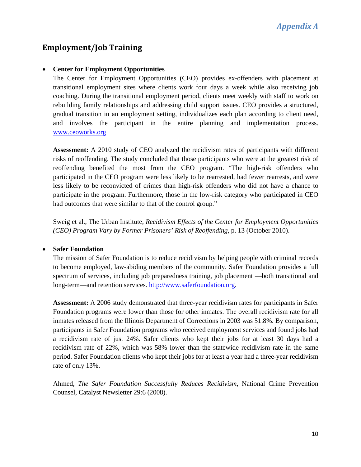### **Employment/Job Training**

#### **Center for Employment Opportunities**

The Center for Employment Opportunities (CEO) provides ex-offenders with placement at transitional employment sites where clients work four days a week while also receiving job coaching. During the transitional employment period, clients meet weekly with staff to work on rebuilding family relationships and addressing child support issues. CEO provides a structured, gradual transition in an employment setting, individualizes each plan according to client need, and involves the participant in the entire planning and implementation process. www.ceoworks.org

**Assessment:** A 2010 study of CEO analyzed the recidivism rates of participants with different risks of reoffending. The study concluded that those participants who were at the greatest risk of reoffending benefited the most from the CEO program. "The high-risk offenders who participated in the CEO program were less likely to be rearrested, had fewer rearrests, and were less likely to be reconvicted of crimes than high-risk offenders who did not have a chance to participate in the program. Furthermore, those in the low-risk category who participated in CEO had outcomes that were similar to that of the control group."

Sweig et al., The Urban Institute, *Recidivism Effects of the Center for Employment Opportunities (CEO) Program Vary by Former Prisoners' Risk of Reoffending*, p. 13 (October 2010).

#### **Safer Foundation**

The mission of Safer Foundation is to reduce recidivism by helping people with criminal records to become employed, law-abiding members of the community. Safer Foundation provides a full spectrum of services, including job preparedness training, job placement —both transitional and long-term—and retention services. http://www.saferfoundation.org.

**Assessment:** A 2006 study demonstrated that three-year recidivism rates for participants in Safer Foundation programs were lower than those for other inmates. The overall recidivism rate for all inmates released from the Illinois Department of Corrections in 2003 was 51.8%. By comparison, participants in Safer Foundation programs who received employment services and found jobs had a recidivism rate of just 24%. Safer clients who kept their jobs for at least 30 days had a recidivism rate of 22%, which was 58% lower than the statewide recidivism rate in the same period. Safer Foundation clients who kept their jobs for at least a year had a three-year recidivism rate of only 13%.

Ahmed, *The Safer Foundation Successfully Reduces Recidivism*, National Crime Prevention Counsel, Catalyst Newsletter 29:6 (2008).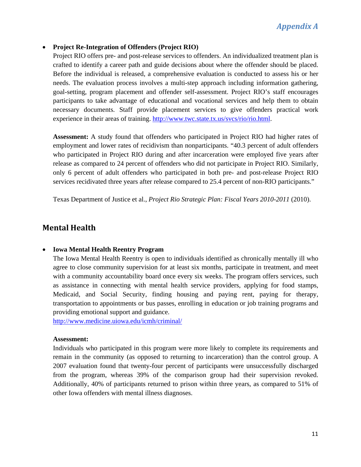### **Project Re-Integration of Offenders (Project RIO)**

Project RIO offers pre- and post-release services to offenders. An individualized treatment plan is crafted to identify a career path and guide decisions about where the offender should be placed. Before the individual is released, a comprehensive evaluation is conducted to assess his or her needs. The evaluation process involves a multi-step approach including information gathering, goal-setting, program placement and offender self-assessment. Project RIO's staff encourages participants to take advantage of educational and vocational services and help them to obtain necessary documents. Staff provide placement services to give offenders practical work experience in their areas of training. http://www.twc.state.tx.us/svcs/rio/rio.html.

**Assessment:** A study found that offenders who participated in Project RIO had higher rates of employment and lower rates of recidivism than nonparticipants. "40.3 percent of adult offenders who participated in Project RIO during and after incarceration were employed five years after release as compared to 24 percent of offenders who did not participate in Project RIO. Similarly, only 6 percent of adult offenders who participated in both pre- and post-release Project RIO services recidivated three years after release compared to 25.4 percent of non-RIO participants."

Texas Department of Justice et al., *Project Rio Strategic Plan: Fiscal Years 2010-2011* (2010).

### **Mental Health**

#### **Iowa Mental Health Reentry Program**

The Iowa Mental Health Reentry is open to individuals identified as chronically mentally ill who agree to close community supervision for at least six months, participate in treatment, and meet with a community accountability board once every six weeks. The program offers services, such as assistance in connecting with mental health service providers, applying for food stamps, Medicaid, and Social Security, finding housing and paying rent, paying for therapy, transportation to appointments or bus passes, enrolling in education or job training programs and providing emotional support and guidance.

http://www.medicine.uiowa.edu/icmh/criminal/

#### **Assessment:**

Individuals who participated in this program were more likely to complete its requirements and remain in the community (as opposed to returning to incarceration) than the control group. A 2007 evaluation found that twenty-four percent of participants were unsuccessfully discharged from the program, whereas 39% of the comparison group had their supervision revoked. Additionally, 40% of participants returned to prison within three years, as compared to 51% of other Iowa offenders with mental illness diagnoses.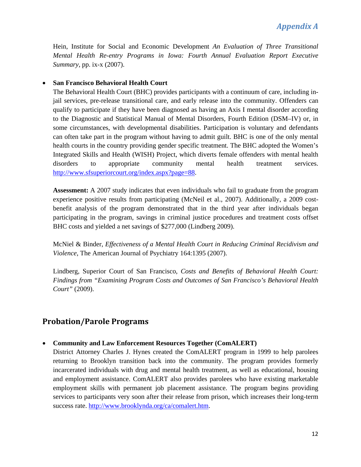### *Appendix A*

Hein, Institute for Social and Economic Development *An Evaluation of Three Transitional Mental Health Re-entry Programs in Iowa: Fourth Annual Evaluation Report Executive Summary,* pp. ix-x (2007).

### **San Francisco Behavioral Health Court**

The Behavioral Health Court (BHC) provides participants with a continuum of care, including injail services, pre-release transitional care, and early release into the community. Offenders can qualify to participate if they have been diagnosed as having an Axis I mental disorder according to the Diagnostic and Statistical Manual of Mental Disorders, Fourth Edition (DSM–IV) or, in some circumstances, with developmental disabilities. Participation is voluntary and defendants can often take part in the program without having to admit guilt. BHC is one of the only mental health courts in the country providing gender specific treatment. The BHC adopted the Women's Integrated Skills and Health (WISH) Project, which diverts female offenders with mental health disorders to appropriate community mental health treatment services. http://www.sfsuperiorcourt.org/index.aspx?page=88.

**Assessment:** A 2007 study indicates that even individuals who fail to graduate from the program experience positive results from participating (McNeil et al., 2007). Additionally, a 2009 costbenefit analysis of the program demonstrated that in the third year after individuals began participating in the program, savings in criminal justice procedures and treatment costs offset BHC costs and yielded a net savings of \$277,000 (Lindberg 2009).

McNiel & Binder, *Effectiveness of a Mental Health Court in Reducing Criminal Recidivism and Violence*, The American Journal of Psychiatry 164:1395 (2007).

Lindberg, Superior Court of San Francisco, *Costs and Benefits of Behavioral Health Court: Findings from "Examining Program Costs and Outcomes of San Francisco's Behavioral Health Court"* (2009).

### **Probation/Parole Programs**

#### **Community and Law Enforcement Resources Together (ComALERT)**

District Attorney Charles J. Hynes created the ComALERT program in 1999 to help parolees returning to Brooklyn transition back into the community. The program provides formerly incarcerated individuals with drug and mental health treatment, as well as educational, housing and employment assistance. ComALERT also provides parolees who have existing marketable employment skills with permanent job placement assistance. The program begins providing services to participants very soon after their release from prison, which increases their long-term success rate. http://www.brooklynda.org/ca/comalert.htm.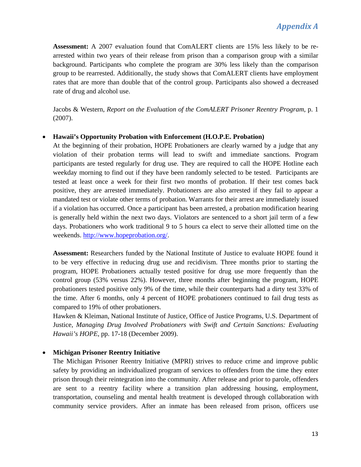**Assessment:** A 2007 evaluation found that ComALERT clients are 15% less likely to be rearrested within two years of their release from prison than a comparison group with a similar background. Participants who complete the program are 30% less likely than the comparison group to be rearrested. Additionally, the study shows that ComALERT clients have employment rates that are more than double that of the control group. Participants also showed a decreased rate of drug and alcohol use.

Jacobs & Western, *Report on the Evaluation of the ComALERT Prisoner Reentry Program*, p. 1 (2007).

#### **Hawaii's Opportunity Probation with Enforcement (H.O.P.E. Probation)**

At the beginning of their probation, HOPE Probationers are clearly warned by a judge that any violation of their probation terms will lead to swift and immediate sanctions. Program participants are tested regularly for drug use. They are required to call the HOPE Hotline each weekday morning to find out if they have been randomly selected to be tested. Participants are tested at least once a week for their first two months of probation. If their test comes back positive, they are arrested immediately. Probationers are also arrested if they fail to appear a mandated test or violate other terms of probation. Warrants for their arrest are immediately issued if a violation has occurred. Once a participant has been arrested, a probation modification hearing is generally held within the next two days. Violators are sentenced to a short jail term of a few days. Probationers who work traditional 9 to 5 hours ca elect to serve their allotted time on the weekends. http://www.hopeprobation.org/.

**Assessment:** Researchers funded by the National Institute of Justice to evaluate HOPE found it to be very effective in reducing drug use and recidivism. Three months prior to starting the program, HOPE Probationers actually tested positive for drug use more frequently than the control group (53% versus 22%). However, three months after beginning the program, HOPE probationers tested positive only 9% of the time, while their counterparts had a dirty test 33% of the time. After 6 months, only 4 percent of HOPE probationers continued to fail drug tests as compared to 19% of other probationers.

Hawken & Kleiman, National Institute of Justice, Office of Justice Programs, U.S. Department of Justice, *Managing Drug Involved Probationers with Swift and Certain Sanctions: Evaluating Hawaii's HOPE*, pp. 17-18 (December 2009).

#### **Michigan Prisoner Reentry Initiative**

The Michigan Prisoner Reentry Initiative (MPRI) strives to reduce crime and improve public safety by providing an individualized program of services to offenders from the time they enter prison through their reintegration into the community. After release and prior to parole, offenders are sent to a reentry facility where a transition plan addressing housing, employment, transportation, counseling and mental health treatment is developed through collaboration with community service providers. After an inmate has been released from prison, officers use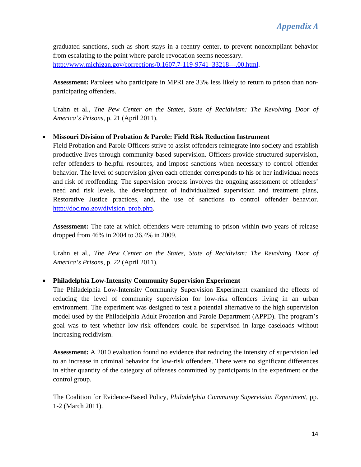graduated sanctions, such as short stays in a reentry center, to prevent noncompliant behavior from escalating to the point where parole revocation seems necessary. http://www.michigan.gov/corrections/0,1607,7-119-9741\_33218---,00.html.

**Assessment:** Parolees who participate in MPRI are 33% less likely to return to prison than nonparticipating offenders.

Urahn et al., *The Pew Center on the States, State of Recidivism: The Revolving Door of America's Prisons*, p. 21 (April 2011).

### **Missouri Division of Probation & Parole: Field Risk Reduction Instrument**

Field Probation and Parole Officers strive to assist offenders reintegrate into society and establish productive lives through community-based supervision. Officers provide structured supervision, refer offenders to helpful resources, and impose sanctions when necessary to control offender behavior. The level of supervision given each offender corresponds to his or her individual needs and risk of reoffending. The supervision process involves the ongoing assessment of offenders' need and risk levels, the development of individualized supervision and treatment plans, Restorative Justice practices, and, the use of sanctions to control offender behavior. http://doc.mo.gov/division\_prob.php.

**Assessment:** The rate at which offenders were returning to prison within two years of release dropped from 46% in 2004 to 36.4% in 2009.

Urahn et al., *The Pew Center on the States, State of Recidivism: The Revolving Door of America's Prisons*, p. 22 (April 2011).

### **Philadelphia Low-Intensity Community Supervision Experiment**

The Philadelphia Low-Intensity Community Supervision Experiment examined the effects of reducing the level of community supervision for low-risk offenders living in an urban environment. The experiment was designed to test a potential alternative to the high supervision model used by the Philadelphia Adult Probation and Parole Department (APPD). The program's goal was to test whether low-risk offenders could be supervised in large caseloads without increasing recidivism.

**Assessment:** A 2010 evaluation found no evidence that reducing the intensity of supervision led to an increase in criminal behavior for low-risk offenders. There were no significant differences in either quantity of the category of offenses committed by participants in the experiment or the control group.

The Coalition for Evidence-Based Policy, *Philadelphia Community Supervision Experiment,* pp. 1-2 (March 2011).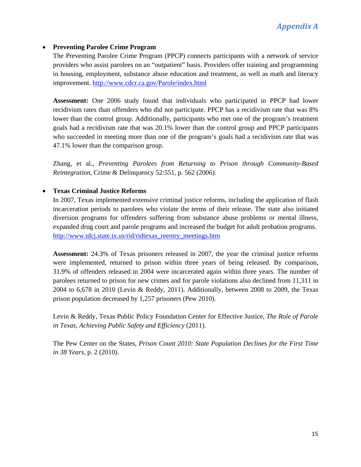### **Preventing Parolee Crime Program**

The Preventing Parolee Crime Program (PPCP) connects participants with a network of service providers who assist parolees on an "outpatient" basis. Providers offer training and programming in housing, employment, substance abuse education and treatment, as well as math and literacy improvement. http://www.cdcr.ca.gov/Parole/index.html

**Assessment:** One 2006 study found that individuals who participated in PPCP had lower recidivism rates than offenders who did not participate. PPCP has a recidivism rate that was 8% lower than the control group. Additionally, participants who met one of the program's treatment goals had a recidivism rate that was 20.1% lower than the control group and PPCP participants who succeeded in meeting more than one of the program's goals had a recidivism rate that was 47.1% lower than the comparison group.

Zhang, et al., *Preventing Parolees from Returning to Prison through Community-Based Reintegration*, Crime & Delinquency 52:551, p. 562 (2006).

### **Texas Criminal Justice Reforms**

In 2007, Texas implemented extensive criminal justice reforms, including the application of flash incarceration periods to parolees who violate the terms of their release. The state also initiated diversion programs for offenders suffering from substance abuse problems or mental illness, expanded drug court and parole programs and increased the budget for adult probation programs. http://www.tdcj.state.tx.us/rid/ridtexas\_reentry\_meetings.htm

**Assessment:** 24.3% of Texas prisoners released in 2007, the year the criminal justice reforms were implemented, returned to prison within three years of being released. By comparison, 31.9% of offenders released in 2004 were incarcerated again within three years. The number of parolees returned to prison for new crimes and for parole violations also declined from 11,311 in 2004 to 6,678 in 2010 (Levin & Reddy, 2011). Additionally, between 2008 to 2009, the Texas prison population decreased by 1,257 prisoners (Pew 2010).

Levin & Reddy, Texas Public Policy Foundation Center for Effective Justice, *The Role of Parole in Texas, Achieving Public Safety and Efficiency* (2011).

The Pew Center on the States, *Prison Count 2010: State Population Declines for the First Time in 38 Years*, p. 2 (2010).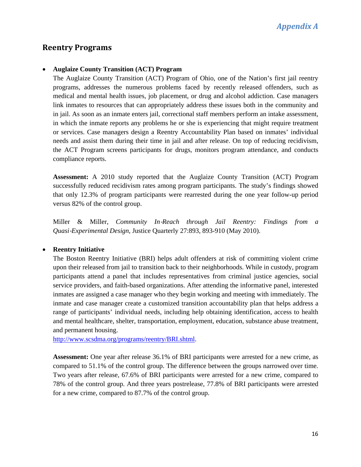### **Reentry Programs**

### **Auglaize County Transition (ACT) Program**

The Auglaize County Transition (ACT) Program of Ohio, one of the Nation's first jail reentry programs, addresses the numerous problems faced by recently released offenders, such as medical and mental health issues, job placement, or drug and alcohol addiction. Case managers link inmates to resources that can appropriately address these issues both in the community and in jail. As soon as an inmate enters jail, correctional staff members perform an intake assessment, in which the inmate reports any problems he or she is experiencing that might require treatment or services. Case managers design a Reentry Accountability Plan based on inmates' individual needs and assist them during their time in jail and after release. On top of reducing recidivism, the ACT Program screens participants for drugs, monitors program attendance, and conducts compliance reports.

**Assessment:** A 2010 study reported that the Auglaize County Transition (ACT) Program successfully reduced recidivism rates among program participants. The study's findings showed that only 12.3% of program participants were rearrested during the one year follow-up period versus 82% of the control group.

Miller & Miller, *Community In*‐*Reach through Jail Reentry: Findings from a Quasi*‐*Experimental Design*, Justice Quarterly 27:893, 893-910 (May 2010).

#### **Reentry Initiative**

The Boston Reentry Initiative (BRI) helps adult offenders at risk of committing violent crime upon their released from jail to transition back to their neighborhoods. While in custody, program participants attend a panel that includes representatives from criminal justice agencies, social service providers, and faith-based organizations. After attending the informative panel, interested inmates are assigned a case manager who they begin working and meeting with immediately. The inmate and case manager create a customized transition accountability plan that helps address a range of participants' individual needs, including help obtaining identification, access to health and mental healthcare, shelter, transportation, employment, education, substance abuse treatment, and permanent housing.

http://www.scsdma.org/programs/reentry/BRI.shtml.

**Assessment:** One year after release 36.1% of BRI participants were arrested for a new crime, as compared to 51.1% of the control group. The difference between the groups narrowed over time. Two years after release, 67.6% of BRI participants were arrested for a new crime, compared to 78% of the control group. And three years postrelease, 77.8% of BRI participants were arrested for a new crime, compared to 87.7% of the control group.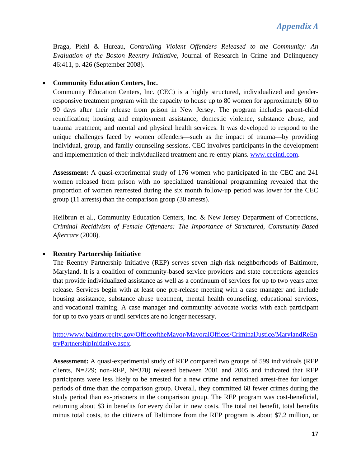Braga, Piehl & Hureau, *Controlling Violent Offenders Released to the Community: An Evaluation of the Boston Reentry Initiative*, Journal of Research in Crime and Delinquency 46:411, p. 426 (September 2008).

### **Community Education Centers, Inc.**

Community Education Centers, Inc. (CEC) is a highly structured, individualized and genderresponsive treatment program with the capacity to house up to 80 women for approximately 60 to 90 days after their release from prison in New Jersey. The program includes parent-child reunification; housing and employment assistance; domestic violence, substance abuse, and trauma treatment; and mental and physical health services. It was developed to respond to the unique challenges faced by women offenders—such as the impact of trauma—by providing individual, group, and family counseling sessions. CEC involves participants in the development and implementation of their individualized treatment and re-entry plans. www.cecintl.com.

**Assessment:** A quasi-experimental study of 176 women who participated in the CEC and 241 women released from prison with no specialized transitional programming revealed that the proportion of women rearrested during the six month follow-up period was lower for the CEC group (11 arrests) than the comparison group (30 arrests).

Heilbrun et al., Community Education Centers, Inc. & New Jersey Department of Corrections, *Criminal Recidivism of Female Offenders: The Importance of Structured, Community-Based Aftercare* (2008).

#### **Reentry Partnership Initiative**

The Reentry Partnership Initiative (REP) serves seven high-risk neighborhoods of Baltimore, Maryland. It is a coalition of community-based service providers and state corrections agencies that provide individualized assistance as well as a continuum of services for up to two years after release. Services begin with at least one pre-release meeting with a case manager and include housing assistance, substance abuse treatment, mental health counseling, educational services, and vocational training. A case manager and community advocate works with each participant for up to two years or until services are no longer necessary.

http://www.baltimorecity.gov/OfficeoftheMayor/MayoralOffices/CriminalJustice/MarylandReEn tryPartnershipInitiative.aspx.

**Assessment:** A quasi-experimental study of REP compared two groups of 599 individuals (REP clients,  $N=229$ ; non-REP,  $N=370$ ) released between 2001 and 2005 and indicated that REP participants were less likely to be arrested for a new crime and remained arrest-free for longer periods of time than the comparison group. Overall, they committed 68 fewer crimes during the study period than ex-prisoners in the comparison group. The REP program was cost-beneficial, returning about \$3 in benefits for every dollar in new costs. The total net benefit, total benefits minus total costs, to the citizens of Baltimore from the REP program is about \$7.2 million, or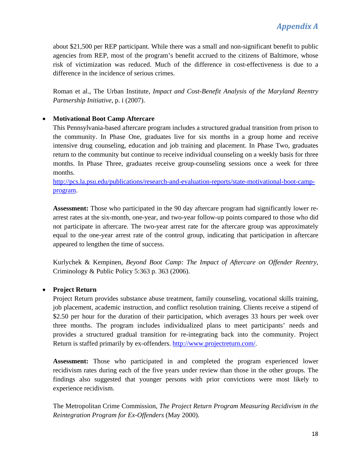about \$21,500 per REP participant. While there was a small and non-significant benefit to public agencies from REP, most of the program's benefit accrued to the citizens of Baltimore, whose risk of victimization was reduced. Much of the difference in cost-effectiveness is due to a difference in the incidence of serious crimes.

Roman et al., The Urban Institute, *Impact and Cost-Benefit Analysis of the Maryland Reentry Partnership Initiative*, p. i (2007).

### **Motivational Boot Camp Aftercare**

This Pennsylvania-based aftercare program includes a structured gradual transition from prison to the community. In Phase One, graduates live for six months in a group home and receive intensive drug counseling, education and job training and placement. In Phase Two, graduates return to the community but continue to receive individual counseling on a weekly basis for three months. In Phase Three, graduates receive group-counseling sessions once a week for three months.

http://pcs.la.psu.edu/publications/research-and-evaluation-reports/state-motivational-boot-campprogram.

**Assessment:** Those who participated in the 90 day aftercare program had significantly lower rearrest rates at the six-month, one-year, and two-year follow-up points compared to those who did not participate in aftercare. The two-year arrest rate for the aftercare group was approximately equal to the one-year arrest rate of the control group, indicating that participation in aftercare appeared to lengthen the time of success.

Kurlychek & Kempinen, *Beyond Boot Camp: The Impact of Aftercare on Offender Reentry*, Criminology & Public Policy 5:363 p. 363 (2006).

### **Project Return**

Project Return provides substance abuse treatment, family counseling, vocational skills training, job placement, academic instruction, and conflict resolution training. Clients receive a stipend of \$2.50 per hour for the duration of their participation, which averages 33 hours per week over three months. The program includes individualized plans to meet participants' needs and provides a structured gradual transition for re-integrating back into the community. Project Return is staffed primarily by ex-offenders. http://www.projectreturn.com/.

**Assessment:** Those who participated in and completed the program experienced lower recidivism rates during each of the five years under review than those in the other groups. The findings also suggested that younger persons with prior convictions were most likely to experience recidivism.

The Metropolitan Crime Commission, *The Project Return Program Measuring Recidivism in the Reintegration Program for Ex-Offenders* (May 2000).